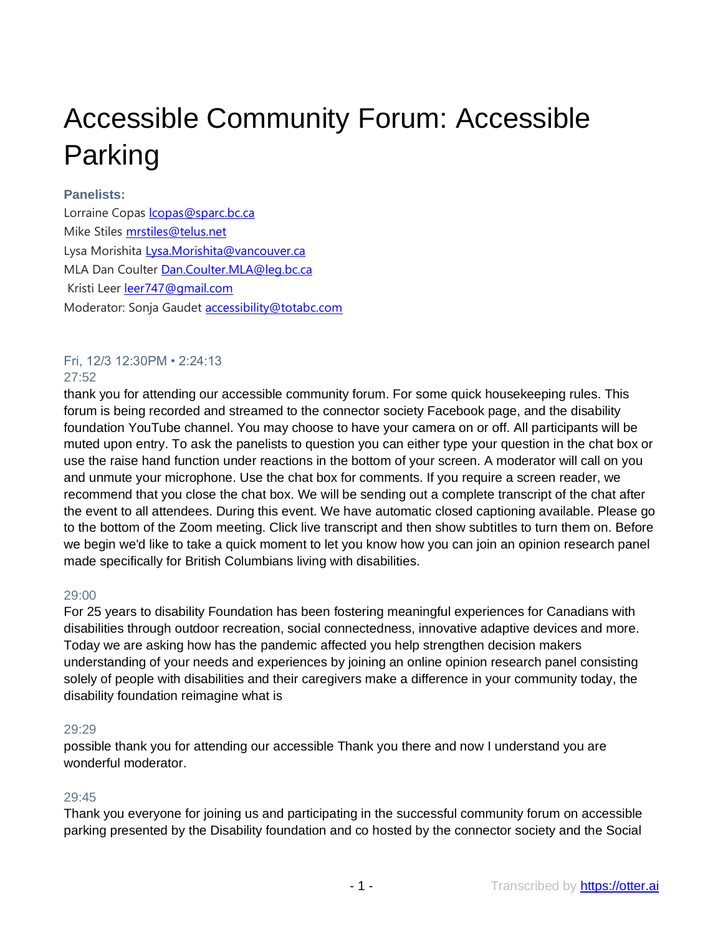# Accessible Community Forum: Accessible Parking

## **Panelists:**

Lorraine Copas **copas@sparc.bc.ca** Mike Stiles [mrstiles@telus.net](mailto:mrstiles@telus.net) Lysa Morishita [Lysa.Morishita@vancouver.ca](mailto:%3CLysa.Morishita@vancouver.ca) MLA Dan Coulter [Dan.Coulter.MLA@leg.bc.ca](mailto:%3CDan.Coulter.MLA@leg.bc.ca) Kristi Leer [leer747@gmail.com](mailto:%3Cleer747@gmail.com) Moderator: Sonja Gaudet **accessibility@totabc.com** 

## Fri, 12/3 12:30PM • 2:24:13

## $27:52$

thank you for attending our accessible community forum. For some quick housekeeping rules. This forum is being recorded and streamed to the connector society Facebook page, and the disability foundation YouTube channel. You may choose to have your camera on or off. All participants will be muted upon entry. To ask the panelists to question you can either type your question in the chat box or use the raise hand function under reactions in the bottom of your screen. A moderator will call on you and unmute your microphone. Use the chat box for comments. If you require a screen reader, we recommend that you close the chat box. We will be sending out a complete transcript of the chat after the event to all attendees. During this event. We have automatic closed captioning available. Please go to the bottom of the Zoom meeting. Click live transcript and then show subtitles to turn them on. Before we begin we'd like to take a quick moment to let you know how you can join an opinion research panel made specifically for British Columbians living with disabilities.

## 29:00

For 25 years to disability Foundation has been fostering meaningful experiences for Canadians with disabilities through outdoor recreation, social connectedness, innovative adaptive devices and more. Today we are asking how has the pandemic affected you help strengthen decision makers understanding of your needs and experiences by joining an online opinion research panel consisting solely of people with disabilities and their caregivers make a difference in your community today, the disability foundation reimagine what is

## 29:29

possible thank you for attending our accessible Thank you there and now I understand you are wonderful moderator.

## 29:45

Thank you everyone for joining us and participating in the successful community forum on accessible parking presented by the Disability foundation and co hosted by the connector society and the Social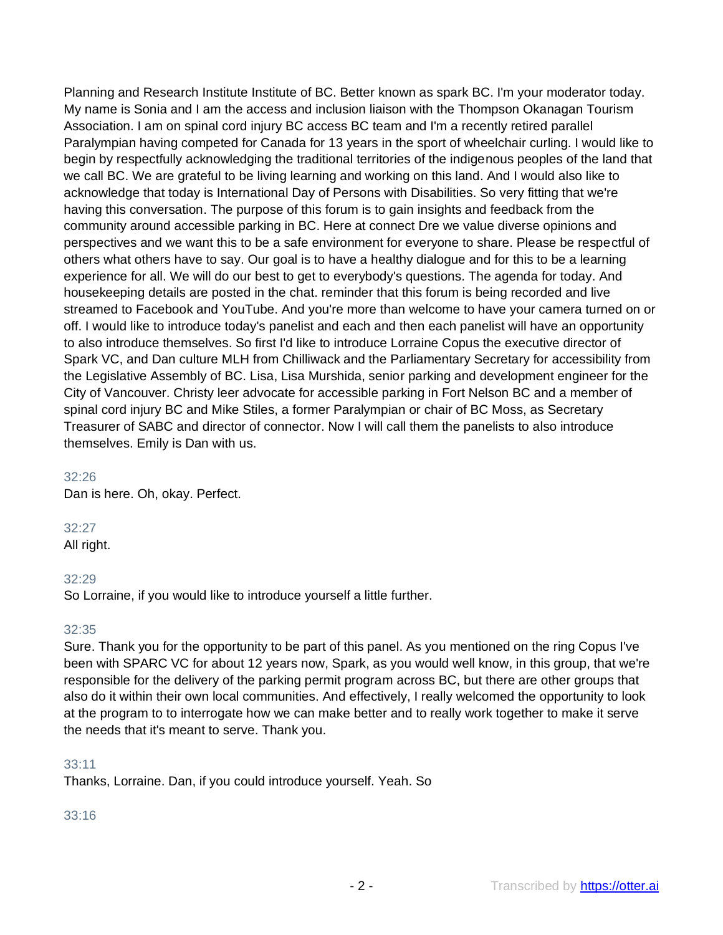Planning and Research Institute Institute of BC. Better known as spark BC. I'm your moderator today. My name is Sonia and I am the access and inclusion liaison with the Thompson Okanagan Tourism Association. I am on spinal cord injury BC access BC team and I'm a recently retired parallel Paralympian having competed for Canada for 13 years in the sport of wheelchair curling. I would like to begin by respectfully acknowledging the traditional territories of the indigenous peoples of the land that we call BC. We are grateful to be living learning and working on this land. And I would also like to acknowledge that today is International Day of Persons with Disabilities. So very fitting that we're having this conversation. The purpose of this forum is to gain insights and feedback from the community around accessible parking in BC. Here at connect Dre we value diverse opinions and perspectives and we want this to be a safe environment for everyone to share. Please be respectful of others what others have to say. Our goal is to have a healthy dialogue and for this to be a learning experience for all. We will do our best to get to everybody's questions. The agenda for today. And housekeeping details are posted in the chat. reminder that this forum is being recorded and live streamed to Facebook and YouTube. And you're more than welcome to have your camera turned on or off. I would like to introduce today's panelist and each and then each panelist will have an opportunity to also introduce themselves. So first I'd like to introduce Lorraine Copus the executive director of Spark VC, and Dan culture MLH from Chilliwack and the Parliamentary Secretary for accessibility from the Legislative Assembly of BC. Lisa, Lisa Murshida, senior parking and development engineer for the City of Vancouver. Christy leer advocate for accessible parking in Fort Nelson BC and a member of spinal cord injury BC and Mike Stiles, a former Paralympian or chair of BC Moss, as Secretary Treasurer of SABC and director of connector. Now I will call them the panelists to also introduce themselves. Emily is Dan with us.

#### 32:26

Dan is here. Oh, okay. Perfect.

## 32:27

All right.

## 32:29

So Lorraine, if you would like to introduce yourself a little further.

## 32:35

Sure. Thank you for the opportunity to be part of this panel. As you mentioned on the ring Copus I've been with SPARC VC for about 12 years now, Spark, as you would well know, in this group, that we're responsible for the delivery of the parking permit program across BC, but there are other groups that also do it within their own local communities. And effectively, I really welcomed the opportunity to look at the program to to interrogate how we can make better and to really work together to make it serve the needs that it's meant to serve. Thank you.

## 33:11

Thanks, Lorraine. Dan, if you could introduce yourself. Yeah. So

## 33:16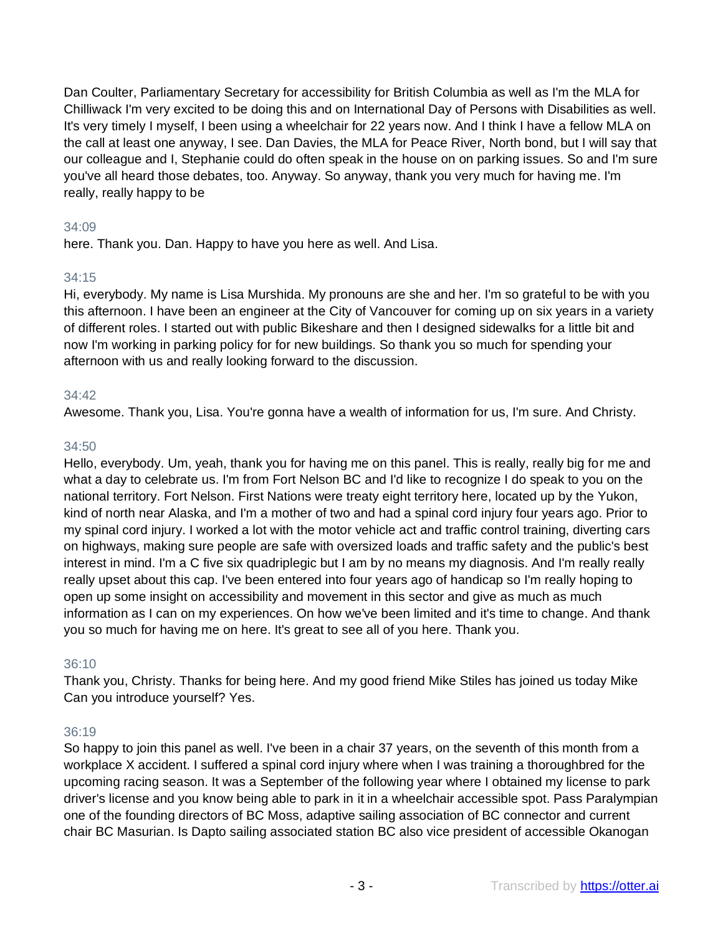Dan Coulter, Parliamentary Secretary for accessibility for British Columbia as well as I'm the MLA for Chilliwack I'm very excited to be doing this and on International Day of Persons with Disabilities as well. It's very timely I myself, I been using a wheelchair for 22 years now. And I think I have a fellow MLA on the call at least one anyway, I see. Dan Davies, the MLA for Peace River, North bond, but I will say that our colleague and I, Stephanie could do often speak in the house on on parking issues. So and I'm sure you've all heard those debates, too. Anyway. So anyway, thank you very much for having me. I'm really, really happy to be

## 34:09

here. Thank you. Dan. Happy to have you here as well. And Lisa.

## 34:15

Hi, everybody. My name is Lisa Murshida. My pronouns are she and her. I'm so grateful to be with you this afternoon. I have been an engineer at the City of Vancouver for coming up on six years in a variety of different roles. I started out with public Bikeshare and then I designed sidewalks for a little bit and now I'm working in parking policy for for new buildings. So thank you so much for spending your afternoon with us and really looking forward to the discussion.

## 34:42

Awesome. Thank you, Lisa. You're gonna have a wealth of information for us, I'm sure. And Christy.

## 34:50

Hello, everybody. Um, yeah, thank you for having me on this panel. This is really, really big for me and what a day to celebrate us. I'm from Fort Nelson BC and I'd like to recognize I do speak to you on the national territory. Fort Nelson. First Nations were treaty eight territory here, located up by the Yukon, kind of north near Alaska, and I'm a mother of two and had a spinal cord injury four years ago. Prior to my spinal cord injury. I worked a lot with the motor vehicle act and traffic control training, diverting cars on highways, making sure people are safe with oversized loads and traffic safety and the public's best interest in mind. I'm a C five six quadriplegic but I am by no means my diagnosis. And I'm really really really upset about this cap. I've been entered into four years ago of handicap so I'm really hoping to open up some insight on accessibility and movement in this sector and give as much as much information as I can on my experiences. On how we've been limited and it's time to change. And thank you so much for having me on here. It's great to see all of you here. Thank you.

## 36:10

Thank you, Christy. Thanks for being here. And my good friend Mike Stiles has joined us today Mike Can you introduce yourself? Yes.

## 36:19

So happy to join this panel as well. I've been in a chair 37 years, on the seventh of this month from a workplace X accident. I suffered a spinal cord injury where when I was training a thoroughbred for the upcoming racing season. It was a September of the following year where I obtained my license to park driver's license and you know being able to park in it in a wheelchair accessible spot. Pass Paralympian one of the founding directors of BC Moss, adaptive sailing association of BC connector and current chair BC Masurian. Is Dapto sailing associated station BC also vice president of accessible Okanogan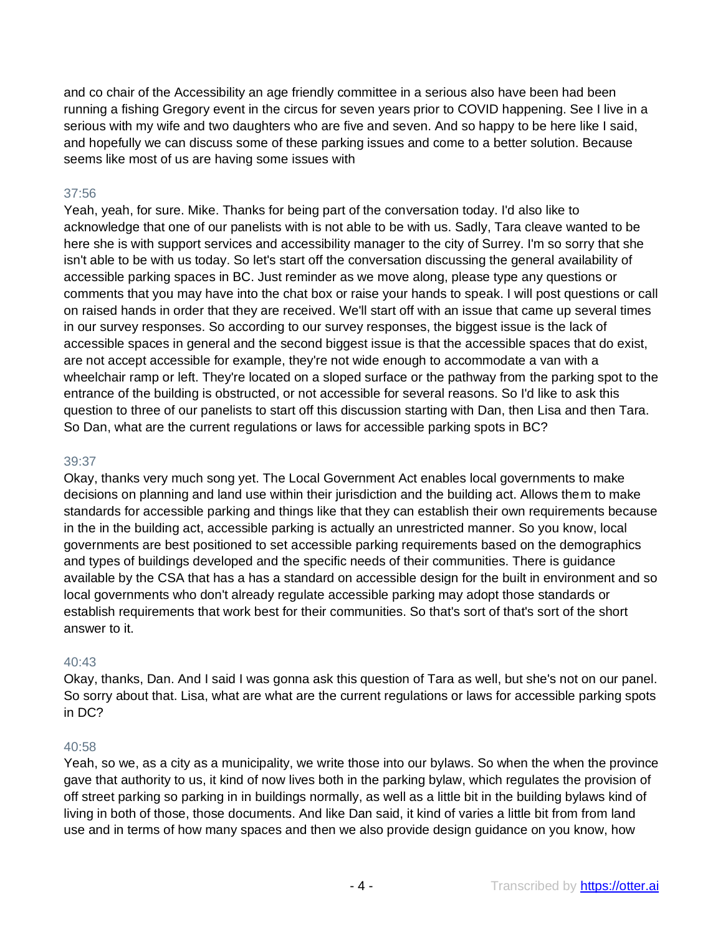and co chair of the Accessibility an age friendly committee in a serious also have been had been running a fishing Gregory event in the circus for seven years prior to COVID happening. See I live in a serious with my wife and two daughters who are five and seven. And so happy to be here like I said, and hopefully we can discuss some of these parking issues and come to a better solution. Because seems like most of us are having some issues with

## 37:56

Yeah, yeah, for sure. Mike. Thanks for being part of the conversation today. I'd also like to acknowledge that one of our panelists with is not able to be with us. Sadly, Tara cleave wanted to be here she is with support services and accessibility manager to the city of Surrey. I'm so sorry that she isn't able to be with us today. So let's start off the conversation discussing the general availability of accessible parking spaces in BC. Just reminder as we move along, please type any questions or comments that you may have into the chat box or raise your hands to speak. I will post questions or call on raised hands in order that they are received. We'll start off with an issue that came up several times in our survey responses. So according to our survey responses, the biggest issue is the lack of accessible spaces in general and the second biggest issue is that the accessible spaces that do exist, are not accept accessible for example, they're not wide enough to accommodate a van with a wheelchair ramp or left. They're located on a sloped surface or the pathway from the parking spot to the entrance of the building is obstructed, or not accessible for several reasons. So I'd like to ask this question to three of our panelists to start off this discussion starting with Dan, then Lisa and then Tara. So Dan, what are the current regulations or laws for accessible parking spots in BC?

## 39:37

Okay, thanks very much song yet. The Local Government Act enables local governments to make decisions on planning and land use within their jurisdiction and the building act. Allows them to make standards for accessible parking and things like that they can establish their own requirements because in the in the building act, accessible parking is actually an unrestricted manner. So you know, local governments are best positioned to set accessible parking requirements based on the demographics and types of buildings developed and the specific needs of their communities. There is guidance available by the CSA that has a has a standard on accessible design for the built in environment and so local governments who don't already regulate accessible parking may adopt those standards or establish requirements that work best for their communities. So that's sort of that's sort of the short answer to it.

## 40:43

Okay, thanks, Dan. And I said I was gonna ask this question of Tara as well, but she's not on our panel. So sorry about that. Lisa, what are what are the current regulations or laws for accessible parking spots in DC?

## 40:58

Yeah, so we, as a city as a municipality, we write those into our bylaws. So when the when the province gave that authority to us, it kind of now lives both in the parking bylaw, which regulates the provision of off street parking so parking in in buildings normally, as well as a little bit in the building bylaws kind of living in both of those, those documents. And like Dan said, it kind of varies a little bit from from land use and in terms of how many spaces and then we also provide design guidance on you know, how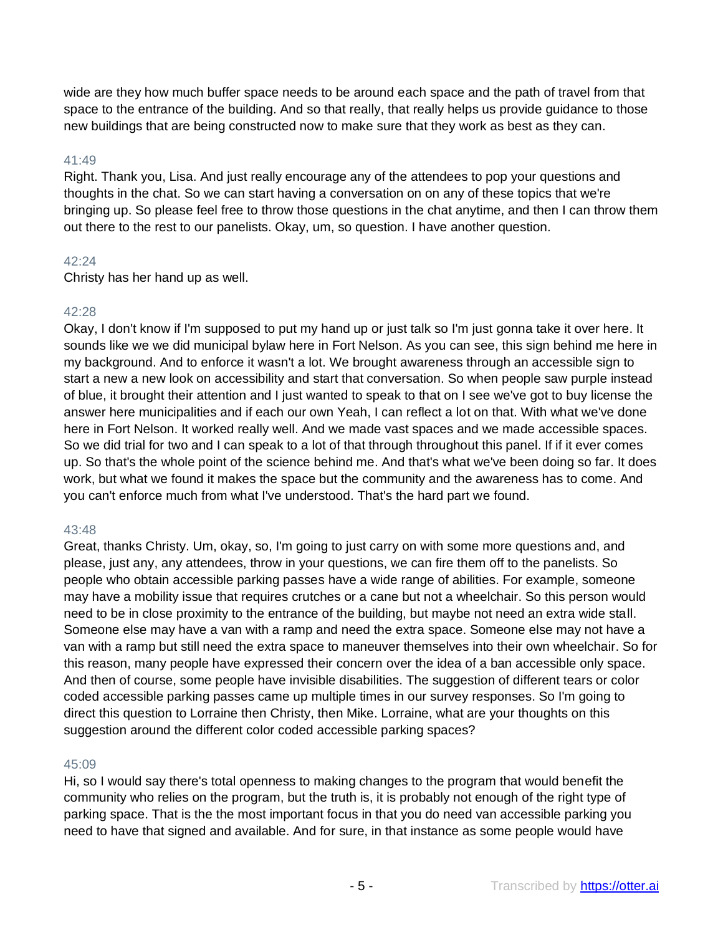wide are they how much buffer space needs to be around each space and the path of travel from that space to the entrance of the building. And so that really, that really helps us provide guidance to those new buildings that are being constructed now to make sure that they work as best as they can.

## 41:49

Right. Thank you, Lisa. And just really encourage any of the attendees to pop your questions and thoughts in the chat. So we can start having a conversation on on any of these topics that we're bringing up. So please feel free to throw those questions in the chat anytime, and then I can throw them out there to the rest to our panelists. Okay, um, so question. I have another question.

## 42:24

Christy has her hand up as well.

## 42:28

Okay, I don't know if I'm supposed to put my hand up or just talk so I'm just gonna take it over here. It sounds like we we did municipal bylaw here in Fort Nelson. As you can see, this sign behind me here in my background. And to enforce it wasn't a lot. We brought awareness through an accessible sign to start a new a new look on accessibility and start that conversation. So when people saw purple instead of blue, it brought their attention and I just wanted to speak to that on I see we've got to buy license the answer here municipalities and if each our own Yeah, I can reflect a lot on that. With what we've done here in Fort Nelson. It worked really well. And we made vast spaces and we made accessible spaces. So we did trial for two and I can speak to a lot of that through throughout this panel. If if it ever comes up. So that's the whole point of the science behind me. And that's what we've been doing so far. It does work, but what we found it makes the space but the community and the awareness has to come. And you can't enforce much from what I've understood. That's the hard part we found.

## 43:48

Great, thanks Christy. Um, okay, so, I'm going to just carry on with some more questions and, and please, just any, any attendees, throw in your questions, we can fire them off to the panelists. So people who obtain accessible parking passes have a wide range of abilities. For example, someone may have a mobility issue that requires crutches or a cane but not a wheelchair. So this person would need to be in close proximity to the entrance of the building, but maybe not need an extra wide stall. Someone else may have a van with a ramp and need the extra space. Someone else may not have a van with a ramp but still need the extra space to maneuver themselves into their own wheelchair. So for this reason, many people have expressed their concern over the idea of a ban accessible only space. And then of course, some people have invisible disabilities. The suggestion of different tears or color coded accessible parking passes came up multiple times in our survey responses. So I'm going to direct this question to Lorraine then Christy, then Mike. Lorraine, what are your thoughts on this suggestion around the different color coded accessible parking spaces?

## 45:09

Hi, so I would say there's total openness to making changes to the program that would benefit the community who relies on the program, but the truth is, it is probably not enough of the right type of parking space. That is the the most important focus in that you do need van accessible parking you need to have that signed and available. And for sure, in that instance as some people would have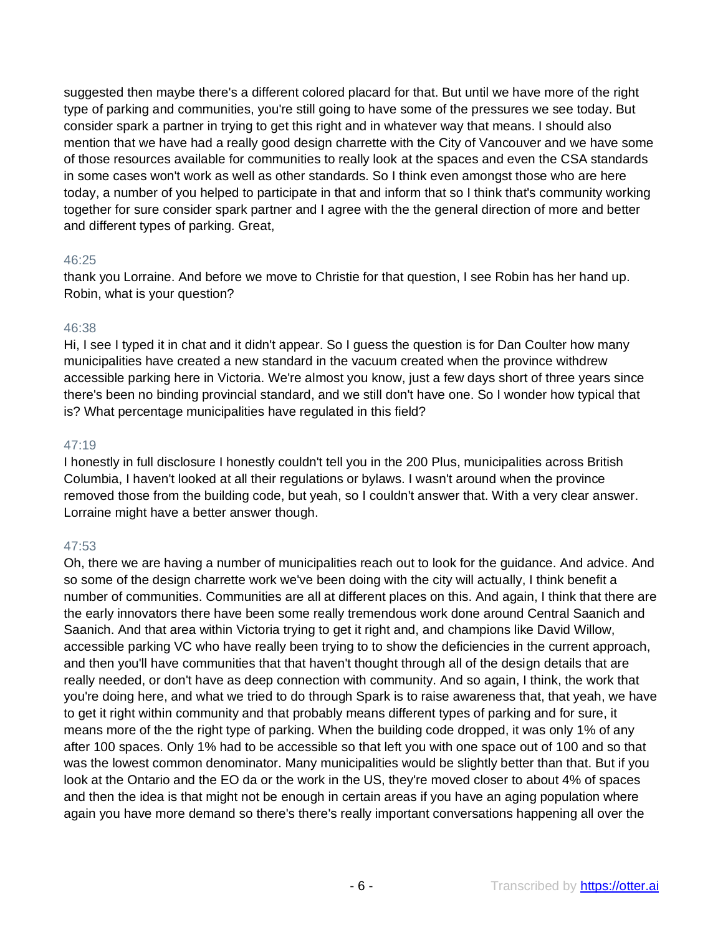suggested then maybe there's a different colored placard for that. But until we have more of the right type of parking and communities, you're still going to have some of the pressures we see today. But consider spark a partner in trying to get this right and in whatever way that means. I should also mention that we have had a really good design charrette with the City of Vancouver and we have some of those resources available for communities to really look at the spaces and even the CSA standards in some cases won't work as well as other standards. So I think even amongst those who are here today, a number of you helped to participate in that and inform that so I think that's community working together for sure consider spark partner and I agree with the the general direction of more and better and different types of parking. Great,

## 46:25

thank you Lorraine. And before we move to Christie for that question, I see Robin has her hand up. Robin, what is your question?

#### 46:38

Hi, I see I typed it in chat and it didn't appear. So I guess the question is for Dan Coulter how many municipalities have created a new standard in the vacuum created when the province withdrew accessible parking here in Victoria. We're almost you know, just a few days short of three years since there's been no binding provincial standard, and we still don't have one. So I wonder how typical that is? What percentage municipalities have regulated in this field?

## 47:19

I honestly in full disclosure I honestly couldn't tell you in the 200 Plus, municipalities across British Columbia, I haven't looked at all their regulations or bylaws. I wasn't around when the province removed those from the building code, but yeah, so I couldn't answer that. With a very clear answer. Lorraine might have a better answer though.

## 47:53

Oh, there we are having a number of municipalities reach out to look for the guidance. And advice. And so some of the design charrette work we've been doing with the city will actually, I think benefit a number of communities. Communities are all at different places on this. And again, I think that there are the early innovators there have been some really tremendous work done around Central Saanich and Saanich. And that area within Victoria trying to get it right and, and champions like David Willow, accessible parking VC who have really been trying to to show the deficiencies in the current approach, and then you'll have communities that that haven't thought through all of the design details that are really needed, or don't have as deep connection with community. And so again, I think, the work that you're doing here, and what we tried to do through Spark is to raise awareness that, that yeah, we have to get it right within community and that probably means different types of parking and for sure, it means more of the the right type of parking. When the building code dropped, it was only 1% of any after 100 spaces. Only 1% had to be accessible so that left you with one space out of 100 and so that was the lowest common denominator. Many municipalities would be slightly better than that. But if you look at the Ontario and the EO da or the work in the US, they're moved closer to about 4% of spaces and then the idea is that might not be enough in certain areas if you have an aging population where again you have more demand so there's there's really important conversations happening all over the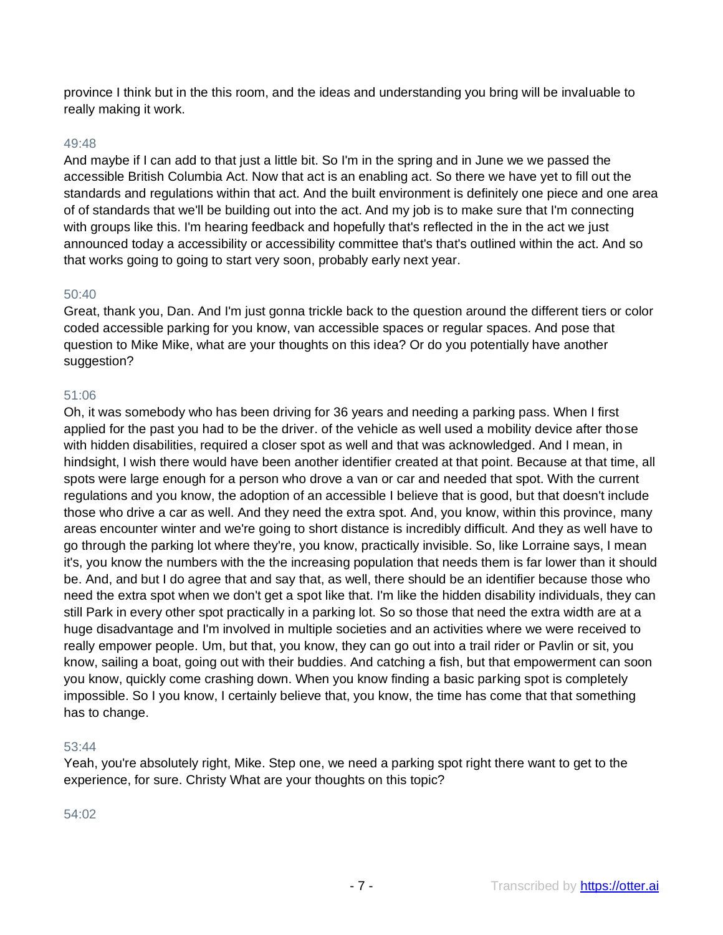province I think but in the this room, and the ideas and understanding you bring will be invaluable to really making it work.

## 49:48

And maybe if I can add to that just a little bit. So I'm in the spring and in June we we passed the accessible British Columbia Act. Now that act is an enabling act. So there we have yet to fill out the standards and regulations within that act. And the built environment is definitely one piece and one area of of standards that we'll be building out into the act. And my job is to make sure that I'm connecting with groups like this. I'm hearing feedback and hopefully that's reflected in the in the act we just announced today a accessibility or accessibility committee that's that's outlined within the act. And so that works going to going to start very soon, probably early next year.

#### 50:40

Great, thank you, Dan. And I'm just gonna trickle back to the question around the different tiers or color coded accessible parking for you know, van accessible spaces or regular spaces. And pose that question to Mike Mike, what are your thoughts on this idea? Or do you potentially have another suggestion?

## 51:06

Oh, it was somebody who has been driving for 36 years and needing a parking pass. When I first applied for the past you had to be the driver. of the vehicle as well used a mobility device after those with hidden disabilities, required a closer spot as well and that was acknowledged. And I mean, in hindsight, I wish there would have been another identifier created at that point. Because at that time, all spots were large enough for a person who drove a van or car and needed that spot. With the current regulations and you know, the adoption of an accessible I believe that is good, but that doesn't include those who drive a car as well. And they need the extra spot. And, you know, within this province, many areas encounter winter and we're going to short distance is incredibly difficult. And they as well have to go through the parking lot where they're, you know, practically invisible. So, like Lorraine says, I mean it's, you know the numbers with the the increasing population that needs them is far lower than it should be. And, and but I do agree that and say that, as well, there should be an identifier because those who need the extra spot when we don't get a spot like that. I'm like the hidden disability individuals, they can still Park in every other spot practically in a parking lot. So so those that need the extra width are at a huge disadvantage and I'm involved in multiple societies and an activities where we were received to really empower people. Um, but that, you know, they can go out into a trail rider or Pavlin or sit, you know, sailing a boat, going out with their buddies. And catching a fish, but that empowerment can soon you know, quickly come crashing down. When you know finding a basic parking spot is completely impossible. So I you know, I certainly believe that, you know, the time has come that that something has to change.

#### 53:44

Yeah, you're absolutely right, Mike. Step one, we need a parking spot right there want to get to the experience, for sure. Christy What are your thoughts on this topic?

## 54:02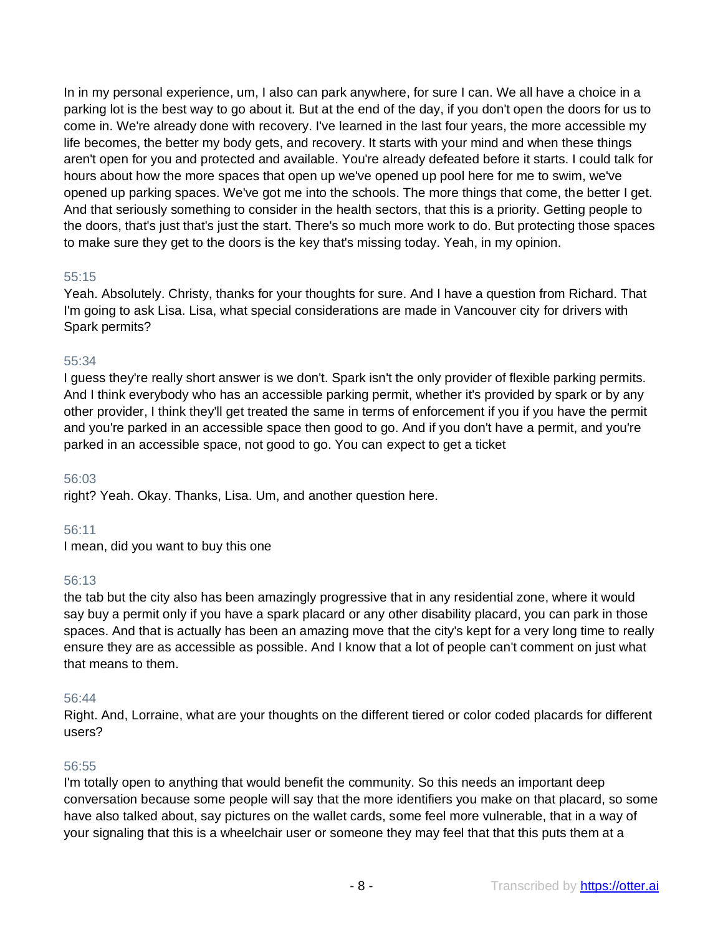In in my personal experience, um, I also can park anywhere, for sure I can. We all have a choice in a parking lot is the best way to go about it. But at the end of the day, if you don't open the doors for us to come in. We're already done with recovery. I've learned in the last four years, the more accessible my life becomes, the better my body gets, and recovery. It starts with your mind and when these things aren't open for you and protected and available. You're already defeated before it starts. I could talk for hours about how the more spaces that open up we've opened up pool here for me to swim, we've opened up parking spaces. We've got me into the schools. The more things that come, the better I get. And that seriously something to consider in the health sectors, that this is a priority. Getting people to the doors, that's just that's just the start. There's so much more work to do. But protecting those spaces to make sure they get to the doors is the key that's missing today. Yeah, in my opinion.

## 55:15

Yeah. Absolutely. Christy, thanks for your thoughts for sure. And I have a question from Richard. That I'm going to ask Lisa. Lisa, what special considerations are made in Vancouver city for drivers with Spark permits?

## 55:34

I guess they're really short answer is we don't. Spark isn't the only provider of flexible parking permits. And I think everybody who has an accessible parking permit, whether it's provided by spark or by any other provider, I think they'll get treated the same in terms of enforcement if you if you have the permit and you're parked in an accessible space then good to go. And if you don't have a permit, and you're parked in an accessible space, not good to go. You can expect to get a ticket

## 56:03

right? Yeah. Okay. Thanks, Lisa. Um, and another question here.

## 56:11

I mean, did you want to buy this one

## 56:13

the tab but the city also has been amazingly progressive that in any residential zone, where it would say buy a permit only if you have a spark placard or any other disability placard, you can park in those spaces. And that is actually has been an amazing move that the city's kept for a very long time to really ensure they are as accessible as possible. And I know that a lot of people can't comment on just what that means to them.

## 56:44

Right. And, Lorraine, what are your thoughts on the different tiered or color coded placards for different users?

## 56:55

I'm totally open to anything that would benefit the community. So this needs an important deep conversation because some people will say that the more identifiers you make on that placard, so some have also talked about, say pictures on the wallet cards, some feel more vulnerable, that in a way of your signaling that this is a wheelchair user or someone they may feel that that this puts them at a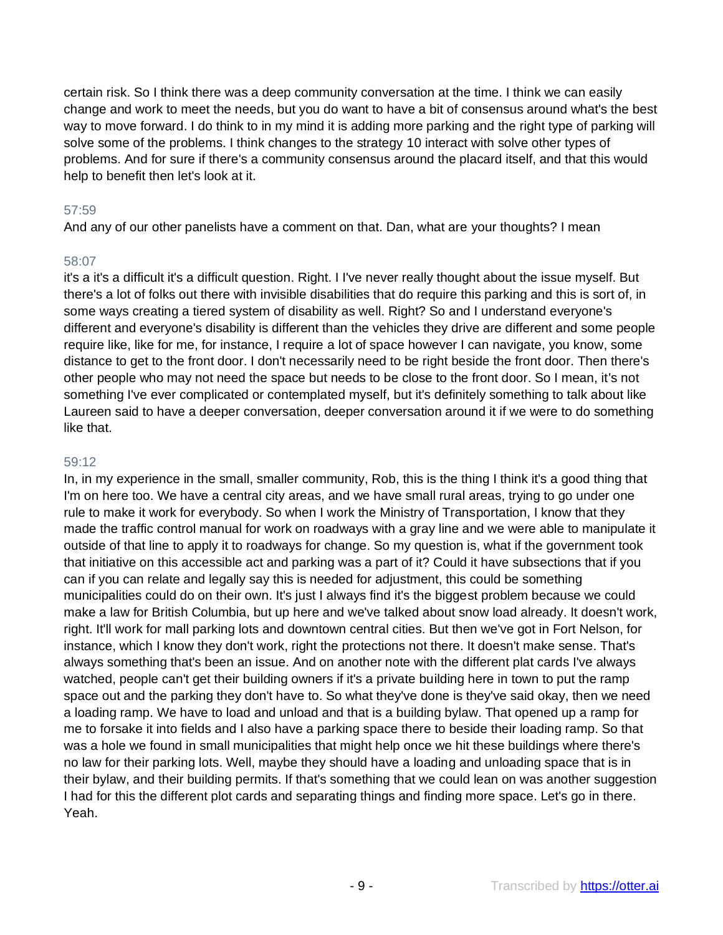certain risk. So I think there was a deep community conversation at the time. I think we can easily change and work to meet the needs, but you do want to have a bit of consensus around what's the best way to move forward. I do think to in my mind it is adding more parking and the right type of parking will solve some of the problems. I think changes to the strategy 10 interact with solve other types of problems. And for sure if there's a community consensus around the placard itself, and that this would help to benefit then let's look at it.

## 57:59

And any of our other panelists have a comment on that. Dan, what are your thoughts? I mean

## 58:07

it's a it's a difficult it's a difficult question. Right. I I've never really thought about the issue myself. But there's a lot of folks out there with invisible disabilities that do require this parking and this is sort of, in some ways creating a tiered system of disability as well. Right? So and I understand everyone's different and everyone's disability is different than the vehicles they drive are different and some people require like, like for me, for instance, I require a lot of space however I can navigate, you know, some distance to get to the front door. I don't necessarily need to be right beside the front door. Then there's other people who may not need the space but needs to be close to the front door. So I mean, it's not something I've ever complicated or contemplated myself, but it's definitely something to talk about like Laureen said to have a deeper conversation, deeper conversation around it if we were to do something like that.

## 59:12

In, in my experience in the small, smaller community, Rob, this is the thing I think it's a good thing that I'm on here too. We have a central city areas, and we have small rural areas, trying to go under one rule to make it work for everybody. So when I work the Ministry of Transportation, I know that they made the traffic control manual for work on roadways with a gray line and we were able to manipulate it outside of that line to apply it to roadways for change. So my question is, what if the government took that initiative on this accessible act and parking was a part of it? Could it have subsections that if you can if you can relate and legally say this is needed for adjustment, this could be something municipalities could do on their own. It's just I always find it's the biggest problem because we could make a law for British Columbia, but up here and we've talked about snow load already. It doesn't work, right. It'll work for mall parking lots and downtown central cities. But then we've got in Fort Nelson, for instance, which I know they don't work, right the protections not there. It doesn't make sense. That's always something that's been an issue. And on another note with the different plat cards I've always watched, people can't get their building owners if it's a private building here in town to put the ramp space out and the parking they don't have to. So what they've done is they've said okay, then we need a loading ramp. We have to load and unload and that is a building bylaw. That opened up a ramp for me to forsake it into fields and I also have a parking space there to beside their loading ramp. So that was a hole we found in small municipalities that might help once we hit these buildings where there's no law for their parking lots. Well, maybe they should have a loading and unloading space that is in their bylaw, and their building permits. If that's something that we could lean on was another suggestion I had for this the different plot cards and separating things and finding more space. Let's go in there. Yeah.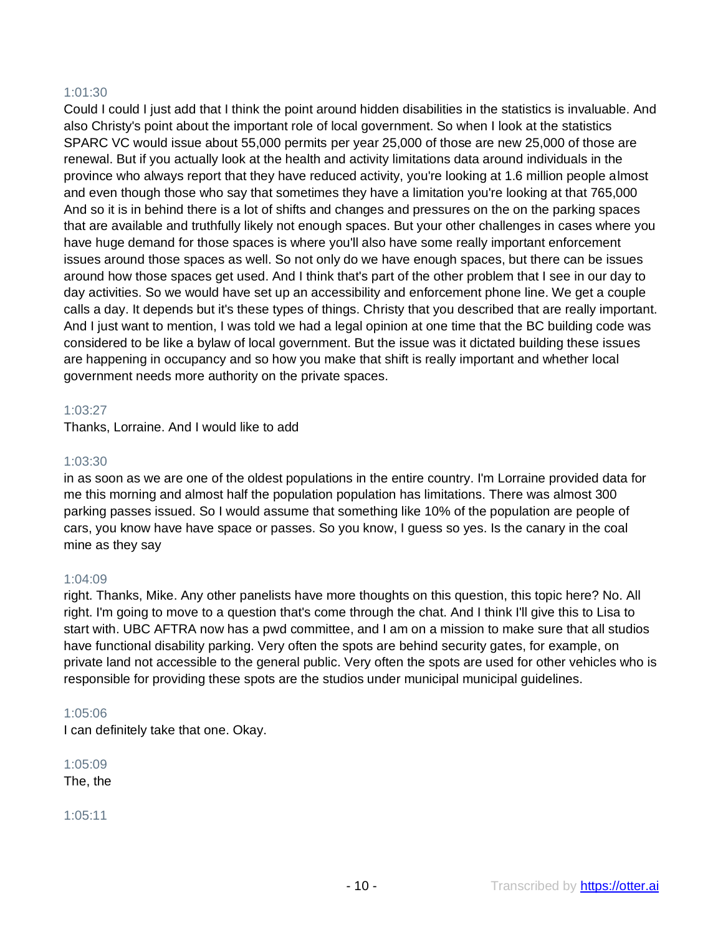## 1:01:30

Could I could I just add that I think the point around hidden disabilities in the statistics is invaluable. And also Christy's point about the important role of local government. So when I look at the statistics SPARC VC would issue about 55,000 permits per year 25,000 of those are new 25,000 of those are renewal. But if you actually look at the health and activity limitations data around individuals in the province who always report that they have reduced activity, you're looking at 1.6 million people almost and even though those who say that sometimes they have a limitation you're looking at that 765,000 And so it is in behind there is a lot of shifts and changes and pressures on the on the parking spaces that are available and truthfully likely not enough spaces. But your other challenges in cases where you have huge demand for those spaces is where you'll also have some really important enforcement issues around those spaces as well. So not only do we have enough spaces, but there can be issues around how those spaces get used. And I think that's part of the other problem that I see in our day to day activities. So we would have set up an accessibility and enforcement phone line. We get a couple calls a day. It depends but it's these types of things. Christy that you described that are really important. And I just want to mention, I was told we had a legal opinion at one time that the BC building code was considered to be like a bylaw of local government. But the issue was it dictated building these issues are happening in occupancy and so how you make that shift is really important and whether local government needs more authority on the private spaces.

#### 1:03:27

Thanks, Lorraine. And I would like to add

## 1:03:30

in as soon as we are one of the oldest populations in the entire country. I'm Lorraine provided data for me this morning and almost half the population population has limitations. There was almost 300 parking passes issued. So I would assume that something like 10% of the population are people of cars, you know have have space or passes. So you know, I guess so yes. Is the canary in the coal mine as they say

#### 1:04:09

right. Thanks, Mike. Any other panelists have more thoughts on this question, this topic here? No. All right. I'm going to move to a question that's come through the chat. And I think I'll give this to Lisa to start with. UBC AFTRA now has a pwd committee, and I am on a mission to make sure that all studios have functional disability parking. Very often the spots are behind security gates, for example, on private land not accessible to the general public. Very often the spots are used for other vehicles who is responsible for providing these spots are the studios under municipal municipal guidelines.

#### 1:05:06

I can definitely take that one. Okay.

1:05:09 The, the

1:05:11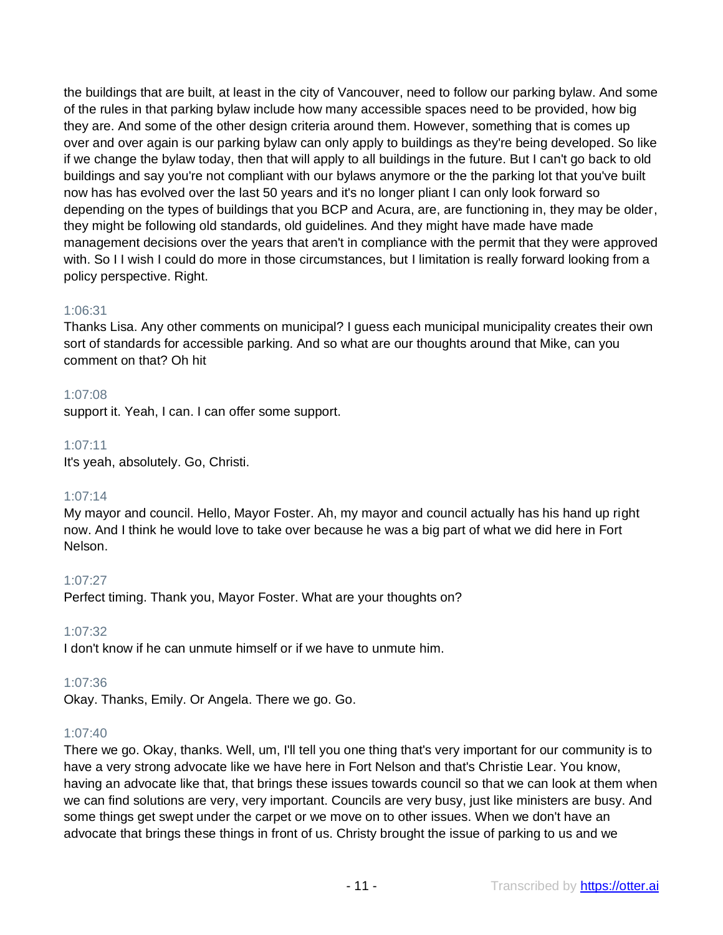the buildings that are built, at least in the city of Vancouver, need to follow our parking bylaw. And some of the rules in that parking bylaw include how many accessible spaces need to be provided, how big they are. And some of the other design criteria around them. However, something that is comes up over and over again is our parking bylaw can only apply to buildings as they're being developed. So like if we change the bylaw today, then that will apply to all buildings in the future. But I can't go back to old buildings and say you're not compliant with our bylaws anymore or the the parking lot that you've built now has has evolved over the last 50 years and it's no longer pliant I can only look forward so depending on the types of buildings that you BCP and Acura, are, are functioning in, they may be older, they might be following old standards, old guidelines. And they might have made have made management decisions over the years that aren't in compliance with the permit that they were approved with. So I I wish I could do more in those circumstances, but I limitation is really forward looking from a policy perspective. Right.

## 1:06:31

Thanks Lisa. Any other comments on municipal? I guess each municipal municipality creates their own sort of standards for accessible parking. And so what are our thoughts around that Mike, can you comment on that? Oh hit

## 1:07:08

support it. Yeah, I can. I can offer some support.

## 1:07:11

It's yeah, absolutely. Go, Christi.

## 1:07:14

My mayor and council. Hello, Mayor Foster. Ah, my mayor and council actually has his hand up right now. And I think he would love to take over because he was a big part of what we did here in Fort Nelson.

## 1:07:27

Perfect timing. Thank you, Mayor Foster. What are your thoughts on?

## 1:07:32

I don't know if he can unmute himself or if we have to unmute him.

## 1:07:36

Okay. Thanks, Emily. Or Angela. There we go. Go.

## 1:07:40

There we go. Okay, thanks. Well, um, I'll tell you one thing that's very important for our community is to have a very strong advocate like we have here in Fort Nelson and that's Christie Lear. You know, having an advocate like that, that brings these issues towards council so that we can look at them when we can find solutions are very, very important. Councils are very busy, just like ministers are busy. And some things get swept under the carpet or we move on to other issues. When we don't have an advocate that brings these things in front of us. Christy brought the issue of parking to us and we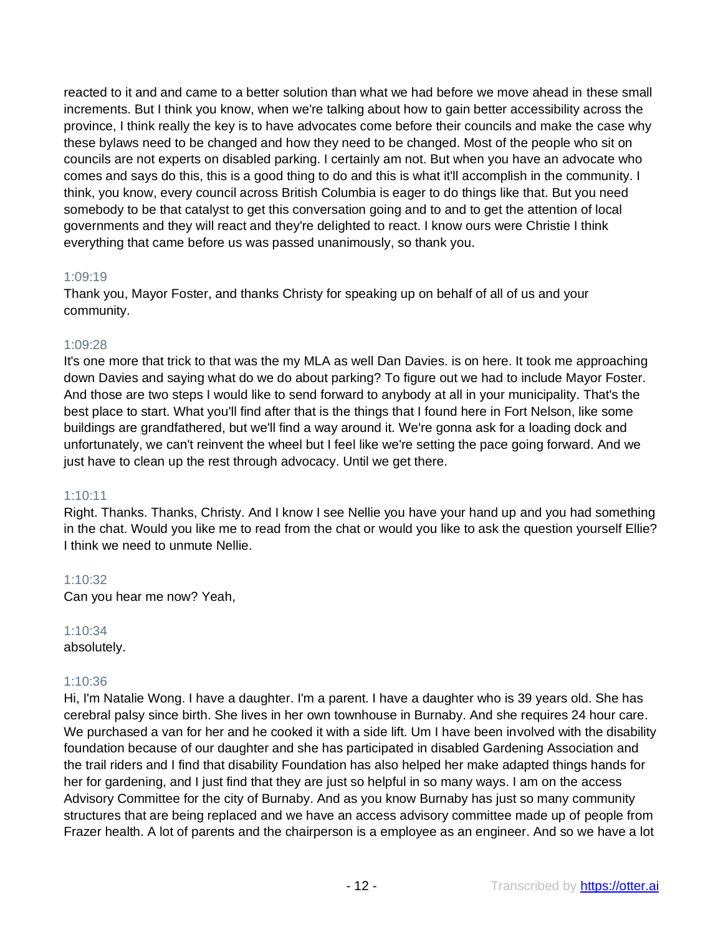reacted to it and and came to a better solution than what we had before we move ahead in these small increments. But I think you know, when we're talking about how to gain better accessibility across the province, I think really the key is to have advocates come before their councils and make the case why these bylaws need to be changed and how they need to be changed. Most of the people who sit on councils are not experts on disabled parking. I certainly am not. But when you have an advocate who comes and says do this, this is a good thing to do and this is what it'll accomplish in the community. I think, you know, every council across British Columbia is eager to do things like that. But you need somebody to be that catalyst to get this conversation going and to and to get the attention of local governments and they will react and they're delighted to react. I know ours were Christie I think everything that came before us was passed unanimously, so thank you.

## 1:09:19

Thank you, Mayor Foster, and thanks Christy for speaking up on behalf of all of us and your community.

#### 1:09:28

It's one more that trick to that was the my MLA as well Dan Davies. is on here. It took me approaching down Davies and saying what do we do about parking? To figure out we had to include Mayor Foster. And those are two steps I would like to send forward to anybody at all in your municipality. That's the best place to start. What you'll find after that is the things that I found here in Fort Nelson, like some buildings are grandfathered, but we'll find a way around it. We're gonna ask for a loading dock and unfortunately, we can't reinvent the wheel but I feel like we're setting the pace going forward. And we just have to clean up the rest through advocacy. Until we get there.

#### 1:10:11

Right. Thanks. Thanks, Christy. And I know I see Nellie you have your hand up and you had something in the chat. Would you like me to read from the chat or would you like to ask the question yourself Ellie? I think we need to unmute Nellie.

1:10:32 Can you hear me now? Yeah,

1:10:34 absolutely.

## 1:10:36

Hi, I'm Natalie Wong. I have a daughter. I'm a parent. I have a daughter who is 39 years old. She has cerebral palsy since birth. She lives in her own townhouse in Burnaby. And she requires 24 hour care. We purchased a van for her and he cooked it with a side lift. Um I have been involved with the disability foundation because of our daughter and she has participated in disabled Gardening Association and the trail riders and I find that disability Foundation has also helped her make adapted things hands for her for gardening, and I just find that they are just so helpful in so many ways. I am on the access Advisory Committee for the city of Burnaby. And as you know Burnaby has just so many community structures that are being replaced and we have an access advisory committee made up of people from Frazer health. A lot of parents and the chairperson is a employee as an engineer. And so we have a lot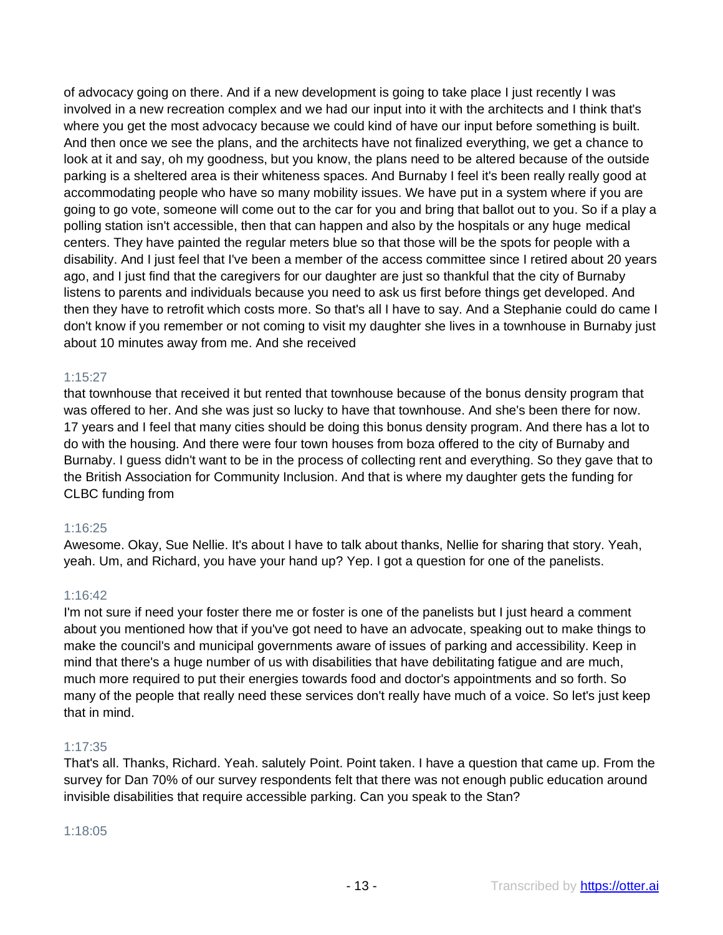of advocacy going on there. And if a new development is going to take place I just recently I was involved in a new recreation complex and we had our input into it with the architects and I think that's where you get the most advocacy because we could kind of have our input before something is built. And then once we see the plans, and the architects have not finalized everything, we get a chance to look at it and say, oh my goodness, but you know, the plans need to be altered because of the outside parking is a sheltered area is their whiteness spaces. And Burnaby I feel it's been really really good at accommodating people who have so many mobility issues. We have put in a system where if you are going to go vote, someone will come out to the car for you and bring that ballot out to you. So if a play a polling station isn't accessible, then that can happen and also by the hospitals or any huge medical centers. They have painted the regular meters blue so that those will be the spots for people with a disability. And I just feel that I've been a member of the access committee since I retired about 20 years ago, and I just find that the caregivers for our daughter are just so thankful that the city of Burnaby listens to parents and individuals because you need to ask us first before things get developed. And then they have to retrofit which costs more. So that's all I have to say. And a Stephanie could do came I don't know if you remember or not coming to visit my daughter she lives in a townhouse in Burnaby just about 10 minutes away from me. And she received

## 1:15:27

that townhouse that received it but rented that townhouse because of the bonus density program that was offered to her. And she was just so lucky to have that townhouse. And she's been there for now. 17 years and I feel that many cities should be doing this bonus density program. And there has a lot to do with the housing. And there were four town houses from boza offered to the city of Burnaby and Burnaby. I guess didn't want to be in the process of collecting rent and everything. So they gave that to the British Association for Community Inclusion. And that is where my daughter gets the funding for CLBC funding from

## 1:16:25

Awesome. Okay, Sue Nellie. It's about I have to talk about thanks, Nellie for sharing that story. Yeah, yeah. Um, and Richard, you have your hand up? Yep. I got a question for one of the panelists.

## 1:16:42

I'm not sure if need your foster there me or foster is one of the panelists but I just heard a comment about you mentioned how that if you've got need to have an advocate, speaking out to make things to make the council's and municipal governments aware of issues of parking and accessibility. Keep in mind that there's a huge number of us with disabilities that have debilitating fatigue and are much, much more required to put their energies towards food and doctor's appointments and so forth. So many of the people that really need these services don't really have much of a voice. So let's just keep that in mind.

## 1:17:35

That's all. Thanks, Richard. Yeah. salutely Point. Point taken. I have a question that came up. From the survey for Dan 70% of our survey respondents felt that there was not enough public education around invisible disabilities that require accessible parking. Can you speak to the Stan?

## 1:18:05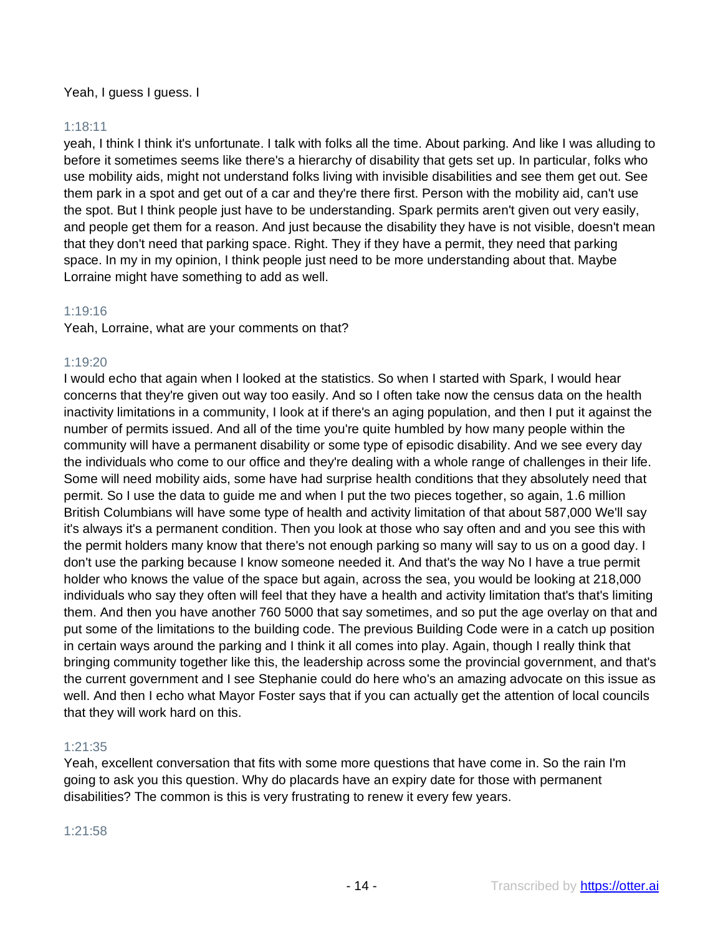## Yeah, I guess I guess. I

## 1:18:11

yeah, I think I think it's unfortunate. I talk with folks all the time. About parking. And like I was alluding to before it sometimes seems like there's a hierarchy of disability that gets set up. In particular, folks who use mobility aids, might not understand folks living with invisible disabilities and see them get out. See them park in a spot and get out of a car and they're there first. Person with the mobility aid, can't use the spot. But I think people just have to be understanding. Spark permits aren't given out very easily, and people get them for a reason. And just because the disability they have is not visible, doesn't mean that they don't need that parking space. Right. They if they have a permit, they need that parking space. In my in my opinion, I think people just need to be more understanding about that. Maybe Lorraine might have something to add as well.

## 1:19:16

Yeah, Lorraine, what are your comments on that?

#### 1:19:20

I would echo that again when I looked at the statistics. So when I started with Spark, I would hear concerns that they're given out way too easily. And so I often take now the census data on the health inactivity limitations in a community, I look at if there's an aging population, and then I put it against the number of permits issued. And all of the time you're quite humbled by how many people within the community will have a permanent disability or some type of episodic disability. And we see every day the individuals who come to our office and they're dealing with a whole range of challenges in their life. Some will need mobility aids, some have had surprise health conditions that they absolutely need that permit. So I use the data to guide me and when I put the two pieces together, so again, 1.6 million British Columbians will have some type of health and activity limitation of that about 587,000 We'll say it's always it's a permanent condition. Then you look at those who say often and and you see this with the permit holders many know that there's not enough parking so many will say to us on a good day. I don't use the parking because I know someone needed it. And that's the way No I have a true permit holder who knows the value of the space but again, across the sea, you would be looking at 218,000 individuals who say they often will feel that they have a health and activity limitation that's that's limiting them. And then you have another 760 5000 that say sometimes, and so put the age overlay on that and put some of the limitations to the building code. The previous Building Code were in a catch up position in certain ways around the parking and I think it all comes into play. Again, though I really think that bringing community together like this, the leadership across some the provincial government, and that's the current government and I see Stephanie could do here who's an amazing advocate on this issue as well. And then I echo what Mayor Foster says that if you can actually get the attention of local councils that they will work hard on this.

#### 1:21:35

Yeah, excellent conversation that fits with some more questions that have come in. So the rain I'm going to ask you this question. Why do placards have an expiry date for those with permanent disabilities? The common is this is very frustrating to renew it every few years.

#### 1:21:58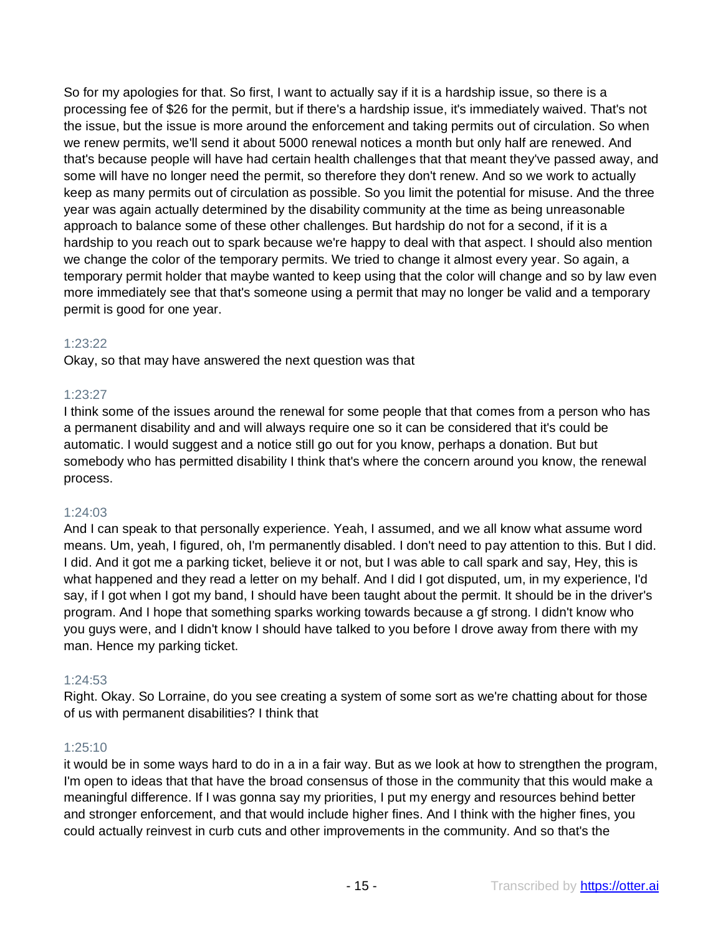So for my apologies for that. So first, I want to actually say if it is a hardship issue, so there is a processing fee of \$26 for the permit, but if there's a hardship issue, it's immediately waived. That's not the issue, but the issue is more around the enforcement and taking permits out of circulation. So when we renew permits, we'll send it about 5000 renewal notices a month but only half are renewed. And that's because people will have had certain health challenges that that meant they've passed away, and some will have no longer need the permit, so therefore they don't renew. And so we work to actually keep as many permits out of circulation as possible. So you limit the potential for misuse. And the three year was again actually determined by the disability community at the time as being unreasonable approach to balance some of these other challenges. But hardship do not for a second, if it is a hardship to you reach out to spark because we're happy to deal with that aspect. I should also mention we change the color of the temporary permits. We tried to change it almost every year. So again, a temporary permit holder that maybe wanted to keep using that the color will change and so by law even more immediately see that that's someone using a permit that may no longer be valid and a temporary permit is good for one year.

## 1:23:22

Okay, so that may have answered the next question was that

## 1:23:27

I think some of the issues around the renewal for some people that that comes from a person who has a permanent disability and and will always require one so it can be considered that it's could be automatic. I would suggest and a notice still go out for you know, perhaps a donation. But but somebody who has permitted disability I think that's where the concern around you know, the renewal process.

## 1:24:03

And I can speak to that personally experience. Yeah, I assumed, and we all know what assume word means. Um, yeah, I figured, oh, I'm permanently disabled. I don't need to pay attention to this. But I did. I did. And it got me a parking ticket, believe it or not, but I was able to call spark and say, Hey, this is what happened and they read a letter on my behalf. And I did I got disputed, um, in my experience, I'd say, if I got when I got my band, I should have been taught about the permit. It should be in the driver's program. And I hope that something sparks working towards because a gf strong. I didn't know who you guys were, and I didn't know I should have talked to you before I drove away from there with my man. Hence my parking ticket.

## 1:24:53

Right. Okay. So Lorraine, do you see creating a system of some sort as we're chatting about for those of us with permanent disabilities? I think that

## 1:25:10

it would be in some ways hard to do in a in a fair way. But as we look at how to strengthen the program, I'm open to ideas that that have the broad consensus of those in the community that this would make a meaningful difference. If I was gonna say my priorities, I put my energy and resources behind better and stronger enforcement, and that would include higher fines. And I think with the higher fines, you could actually reinvest in curb cuts and other improvements in the community. And so that's the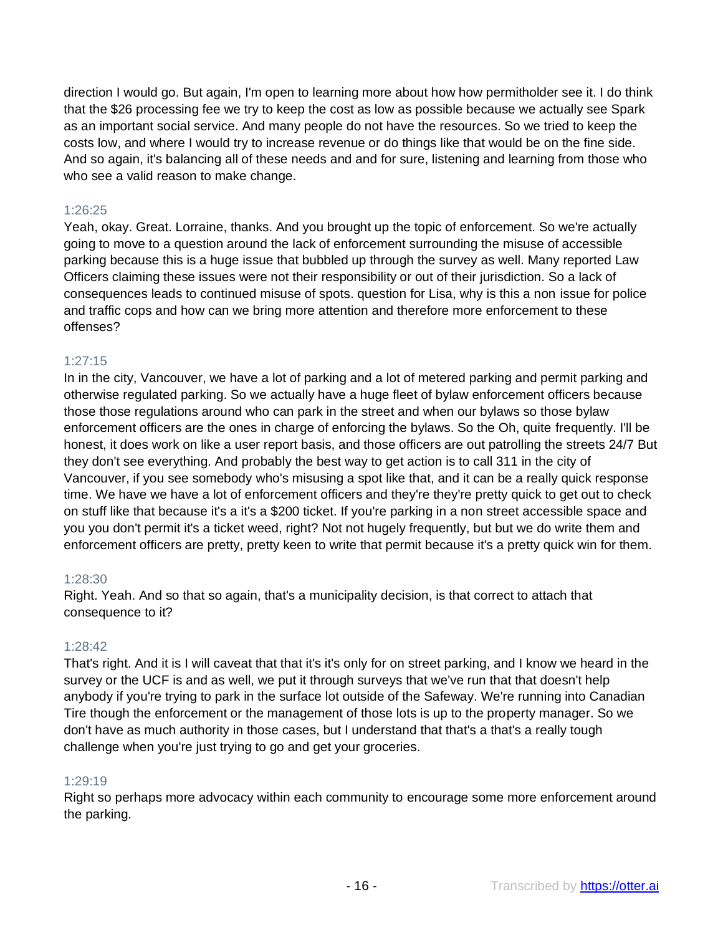direction I would go. But again, I'm open to learning more about how how permitholder see it. I do think that the \$26 processing fee we try to keep the cost as low as possible because we actually see Spark as an important social service. And many people do not have the resources. So we tried to keep the costs low, and where I would try to increase revenue or do things like that would be on the fine side. And so again, it's balancing all of these needs and and for sure, listening and learning from those who who see a valid reason to make change.

## 1:26:25

Yeah, okay. Great. Lorraine, thanks. And you brought up the topic of enforcement. So we're actually going to move to a question around the lack of enforcement surrounding the misuse of accessible parking because this is a huge issue that bubbled up through the survey as well. Many reported Law Officers claiming these issues were not their responsibility or out of their jurisdiction. So a lack of consequences leads to continued misuse of spots. question for Lisa, why is this a non issue for police and traffic cops and how can we bring more attention and therefore more enforcement to these offenses?

#### 1:27:15

In in the city, Vancouver, we have a lot of parking and a lot of metered parking and permit parking and otherwise regulated parking. So we actually have a huge fleet of bylaw enforcement officers because those those regulations around who can park in the street and when our bylaws so those bylaw enforcement officers are the ones in charge of enforcing the bylaws. So the Oh, quite frequently. I'll be honest, it does work on like a user report basis, and those officers are out patrolling the streets 24/7 But they don't see everything. And probably the best way to get action is to call 311 in the city of Vancouver, if you see somebody who's misusing a spot like that, and it can be a really quick response time. We have we have a lot of enforcement officers and they're they're pretty quick to get out to check on stuff like that because it's a it's a \$200 ticket. If you're parking in a non street accessible space and you you don't permit it's a ticket weed, right? Not not hugely frequently, but but we do write them and enforcement officers are pretty, pretty keen to write that permit because it's a pretty quick win for them.

#### 1:28:30

Right. Yeah. And so that so again, that's a municipality decision, is that correct to attach that consequence to it?

#### 1:28:42

That's right. And it is I will caveat that that it's it's only for on street parking, and I know we heard in the survey or the UCF is and as well, we put it through surveys that we've run that that doesn't help anybody if you're trying to park in the surface lot outside of the Safeway. We're running into Canadian Tire though the enforcement or the management of those lots is up to the property manager. So we don't have as much authority in those cases, but I understand that that's a that's a really tough challenge when you're just trying to go and get your groceries.

## 1:29:19

Right so perhaps more advocacy within each community to encourage some more enforcement around the parking.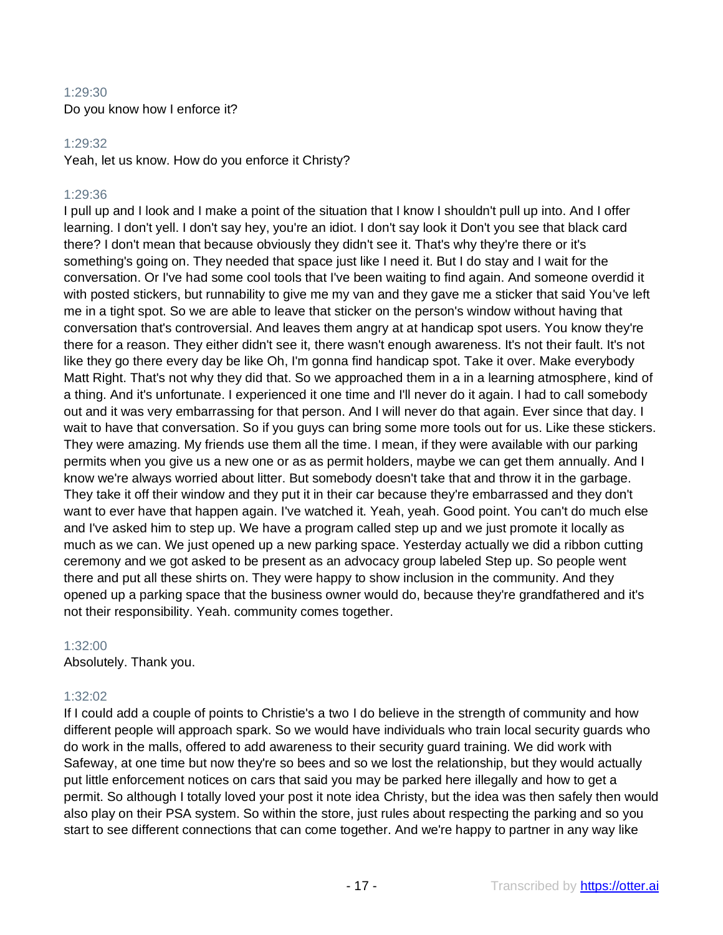## 1:29:30 Do you know how I enforce it?

## 1:29:32

Yeah, let us know. How do you enforce it Christy?

## 1:29:36

I pull up and I look and I make a point of the situation that I know I shouldn't pull up into. And I offer learning. I don't yell. I don't say hey, you're an idiot. I don't say look it Don't you see that black card there? I don't mean that because obviously they didn't see it. That's why they're there or it's something's going on. They needed that space just like I need it. But I do stay and I wait for the conversation. Or I've had some cool tools that I've been waiting to find again. And someone overdid it with posted stickers, but runnability to give me my van and they gave me a sticker that said You've left me in a tight spot. So we are able to leave that sticker on the person's window without having that conversation that's controversial. And leaves them angry at at handicap spot users. You know they're there for a reason. They either didn't see it, there wasn't enough awareness. It's not their fault. It's not like they go there every day be like Oh, I'm gonna find handicap spot. Take it over. Make everybody Matt Right. That's not why they did that. So we approached them in a in a learning atmosphere, kind of a thing. And it's unfortunate. I experienced it one time and I'll never do it again. I had to call somebody out and it was very embarrassing for that person. And I will never do that again. Ever since that day. I wait to have that conversation. So if you guys can bring some more tools out for us. Like these stickers. They were amazing. My friends use them all the time. I mean, if they were available with our parking permits when you give us a new one or as as permit holders, maybe we can get them annually. And I know we're always worried about litter. But somebody doesn't take that and throw it in the garbage. They take it off their window and they put it in their car because they're embarrassed and they don't want to ever have that happen again. I've watched it. Yeah, yeah. Good point. You can't do much else and I've asked him to step up. We have a program called step up and we just promote it locally as much as we can. We just opened up a new parking space. Yesterday actually we did a ribbon cutting ceremony and we got asked to be present as an advocacy group labeled Step up. So people went there and put all these shirts on. They were happy to show inclusion in the community. And they opened up a parking space that the business owner would do, because they're grandfathered and it's not their responsibility. Yeah. community comes together.

## 1:32:00

Absolutely. Thank you.

## 1:32:02

If I could add a couple of points to Christie's a two I do believe in the strength of community and how different people will approach spark. So we would have individuals who train local security guards who do work in the malls, offered to add awareness to their security guard training. We did work with Safeway, at one time but now they're so bees and so we lost the relationship, but they would actually put little enforcement notices on cars that said you may be parked here illegally and how to get a permit. So although I totally loved your post it note idea Christy, but the idea was then safely then would also play on their PSA system. So within the store, just rules about respecting the parking and so you start to see different connections that can come together. And we're happy to partner in any way like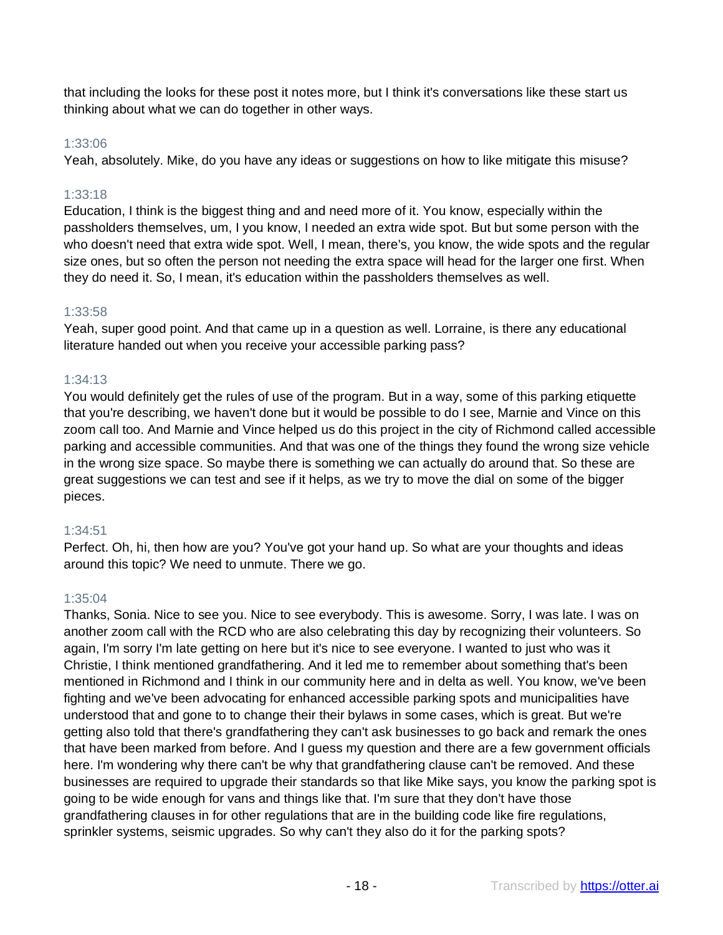that including the looks for these post it notes more, but I think it's conversations like these start us thinking about what we can do together in other ways.

## 1:33:06

Yeah, absolutely. Mike, do you have any ideas or suggestions on how to like mitigate this misuse?

## 1:33:18

Education, I think is the biggest thing and and need more of it. You know, especially within the passholders themselves, um, I you know, I needed an extra wide spot. But but some person with the who doesn't need that extra wide spot. Well, I mean, there's, you know, the wide spots and the regular size ones, but so often the person not needing the extra space will head for the larger one first. When they do need it. So, I mean, it's education within the passholders themselves as well.

## 1:33:58

Yeah, super good point. And that came up in a question as well. Lorraine, is there any educational literature handed out when you receive your accessible parking pass?

## 1:34:13

You would definitely get the rules of use of the program. But in a way, some of this parking etiquette that you're describing, we haven't done but it would be possible to do I see, Marnie and Vince on this zoom call too. And Marnie and Vince helped us do this project in the city of Richmond called accessible parking and accessible communities. And that was one of the things they found the wrong size vehicle in the wrong size space. So maybe there is something we can actually do around that. So these are great suggestions we can test and see if it helps, as we try to move the dial on some of the bigger pieces.

## 1:34:51

Perfect. Oh, hi, then how are you? You've got your hand up. So what are your thoughts and ideas around this topic? We need to unmute. There we go.

## 1:35:04

Thanks, Sonia. Nice to see you. Nice to see everybody. This is awesome. Sorry, I was late. I was on another zoom call with the RCD who are also celebrating this day by recognizing their volunteers. So again, I'm sorry I'm late getting on here but it's nice to see everyone. I wanted to just who was it Christie, I think mentioned grandfathering. And it led me to remember about something that's been mentioned in Richmond and I think in our community here and in delta as well. You know, we've been fighting and we've been advocating for enhanced accessible parking spots and municipalities have understood that and gone to to change their their bylaws in some cases, which is great. But we're getting also told that there's grandfathering they can't ask businesses to go back and remark the ones that have been marked from before. And I guess my question and there are a few government officials here. I'm wondering why there can't be why that grandfathering clause can't be removed. And these businesses are required to upgrade their standards so that like Mike says, you know the parking spot is going to be wide enough for vans and things like that. I'm sure that they don't have those grandfathering clauses in for other regulations that are in the building code like fire regulations, sprinkler systems, seismic upgrades. So why can't they also do it for the parking spots?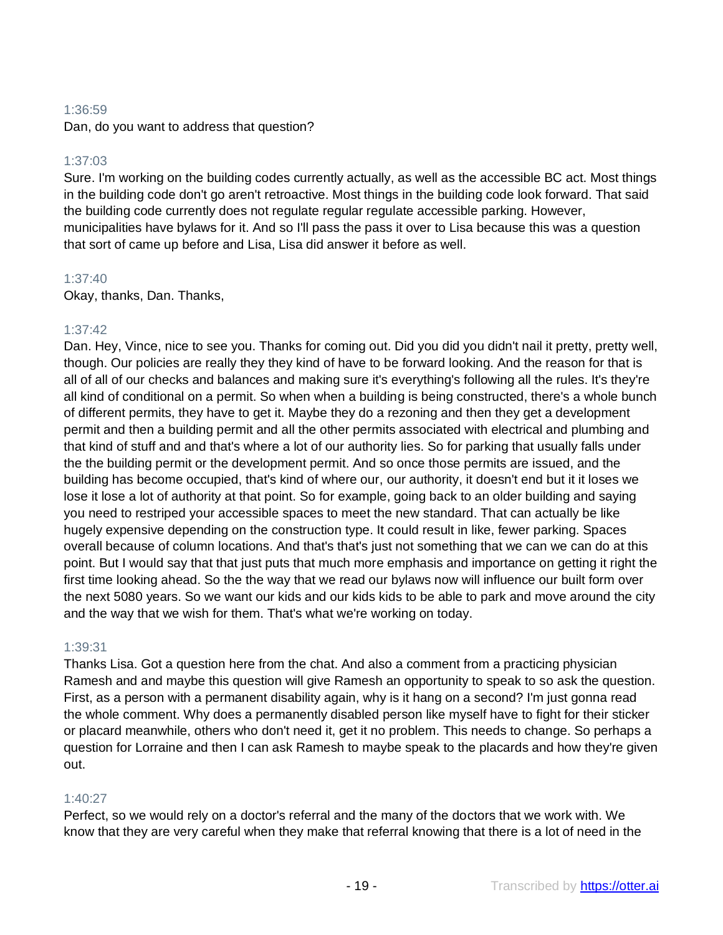## 1:36:59

Dan, do you want to address that question?

## 1:37:03

Sure. I'm working on the building codes currently actually, as well as the accessible BC act. Most things in the building code don't go aren't retroactive. Most things in the building code look forward. That said the building code currently does not regulate regular regulate accessible parking. However, municipalities have bylaws for it. And so I'll pass the pass it over to Lisa because this was a question that sort of came up before and Lisa, Lisa did answer it before as well.

## 1:37:40

Okay, thanks, Dan. Thanks,

## 1:37:42

Dan. Hey, Vince, nice to see you. Thanks for coming out. Did you did you didn't nail it pretty, pretty well, though. Our policies are really they they kind of have to be forward looking. And the reason for that is all of all of our checks and balances and making sure it's everything's following all the rules. It's they're all kind of conditional on a permit. So when when a building is being constructed, there's a whole bunch of different permits, they have to get it. Maybe they do a rezoning and then they get a development permit and then a building permit and all the other permits associated with electrical and plumbing and that kind of stuff and and that's where a lot of our authority lies. So for parking that usually falls under the the building permit or the development permit. And so once those permits are issued, and the building has become occupied, that's kind of where our, our authority, it doesn't end but it it loses we lose it lose a lot of authority at that point. So for example, going back to an older building and saying you need to restriped your accessible spaces to meet the new standard. That can actually be like hugely expensive depending on the construction type. It could result in like, fewer parking. Spaces overall because of column locations. And that's that's just not something that we can we can do at this point. But I would say that that just puts that much more emphasis and importance on getting it right the first time looking ahead. So the the way that we read our bylaws now will influence our built form over the next 5080 years. So we want our kids and our kids kids to be able to park and move around the city and the way that we wish for them. That's what we're working on today.

## 1:39:31

Thanks Lisa. Got a question here from the chat. And also a comment from a practicing physician Ramesh and and maybe this question will give Ramesh an opportunity to speak to so ask the question. First, as a person with a permanent disability again, why is it hang on a second? I'm just gonna read the whole comment. Why does a permanently disabled person like myself have to fight for their sticker or placard meanwhile, others who don't need it, get it no problem. This needs to change. So perhaps a question for Lorraine and then I can ask Ramesh to maybe speak to the placards and how they're given out.

## 1:40:27

Perfect, so we would rely on a doctor's referral and the many of the doctors that we work with. We know that they are very careful when they make that referral knowing that there is a lot of need in the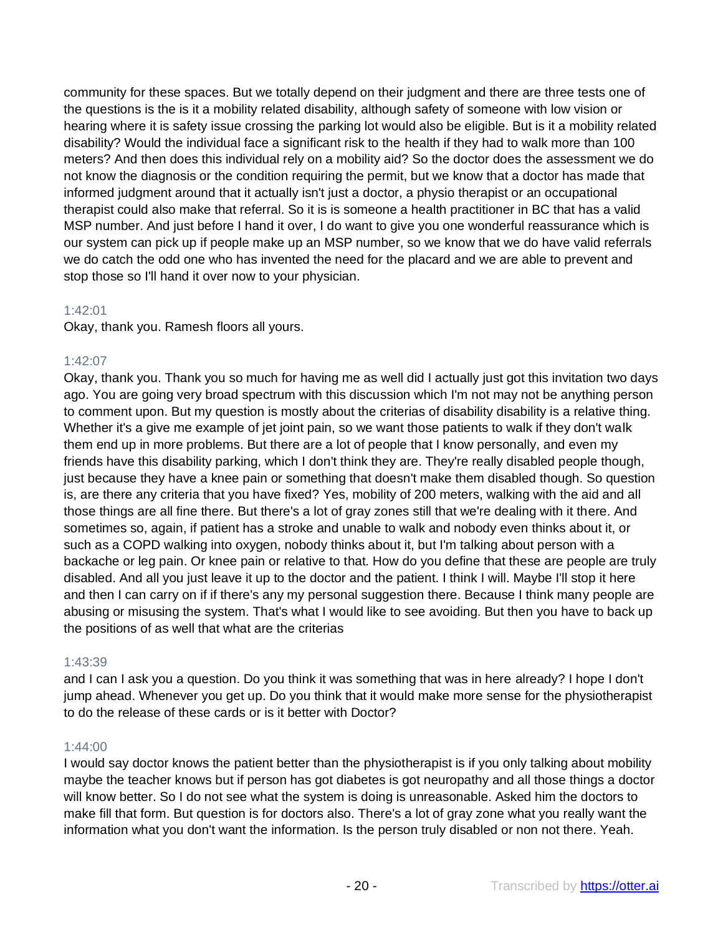community for these spaces. But we totally depend on their judgment and there are three tests one of the questions is the is it a mobility related disability, although safety of someone with low vision or hearing where it is safety issue crossing the parking lot would also be eligible. But is it a mobility related disability? Would the individual face a significant risk to the health if they had to walk more than 100 meters? And then does this individual rely on a mobility aid? So the doctor does the assessment we do not know the diagnosis or the condition requiring the permit, but we know that a doctor has made that informed judgment around that it actually isn't just a doctor, a physio therapist or an occupational therapist could also make that referral. So it is is someone a health practitioner in BC that has a valid MSP number. And just before I hand it over, I do want to give you one wonderful reassurance which is our system can pick up if people make up an MSP number, so we know that we do have valid referrals we do catch the odd one who has invented the need for the placard and we are able to prevent and stop those so I'll hand it over now to your physician.

## 1:42:01

Okay, thank you. Ramesh floors all yours.

#### 1:42:07

Okay, thank you. Thank you so much for having me as well did I actually just got this invitation two days ago. You are going very broad spectrum with this discussion which I'm not may not be anything person to comment upon. But my question is mostly about the criterias of disability disability is a relative thing. Whether it's a give me example of jet joint pain, so we want those patients to walk if they don't walk them end up in more problems. But there are a lot of people that I know personally, and even my friends have this disability parking, which I don't think they are. They're really disabled people though, just because they have a knee pain or something that doesn't make them disabled though. So question is, are there any criteria that you have fixed? Yes, mobility of 200 meters, walking with the aid and all those things are all fine there. But there's a lot of gray zones still that we're dealing with it there. And sometimes so, again, if patient has a stroke and unable to walk and nobody even thinks about it, or such as a COPD walking into oxygen, nobody thinks about it, but I'm talking about person with a backache or leg pain. Or knee pain or relative to that. How do you define that these are people are truly disabled. And all you just leave it up to the doctor and the patient. I think I will. Maybe I'll stop it here and then I can carry on if if there's any my personal suggestion there. Because I think many people are abusing or misusing the system. That's what I would like to see avoiding. But then you have to back up the positions of as well that what are the criterias

## 1:43:39

and I can I ask you a question. Do you think it was something that was in here already? I hope I don't jump ahead. Whenever you get up. Do you think that it would make more sense for the physiotherapist to do the release of these cards or is it better with Doctor?

#### 1:44:00

I would say doctor knows the patient better than the physiotherapist is if you only talking about mobility maybe the teacher knows but if person has got diabetes is got neuropathy and all those things a doctor will know better. So I do not see what the system is doing is unreasonable. Asked him the doctors to make fill that form. But question is for doctors also. There's a lot of gray zone what you really want the information what you don't want the information. Is the person truly disabled or non not there. Yeah.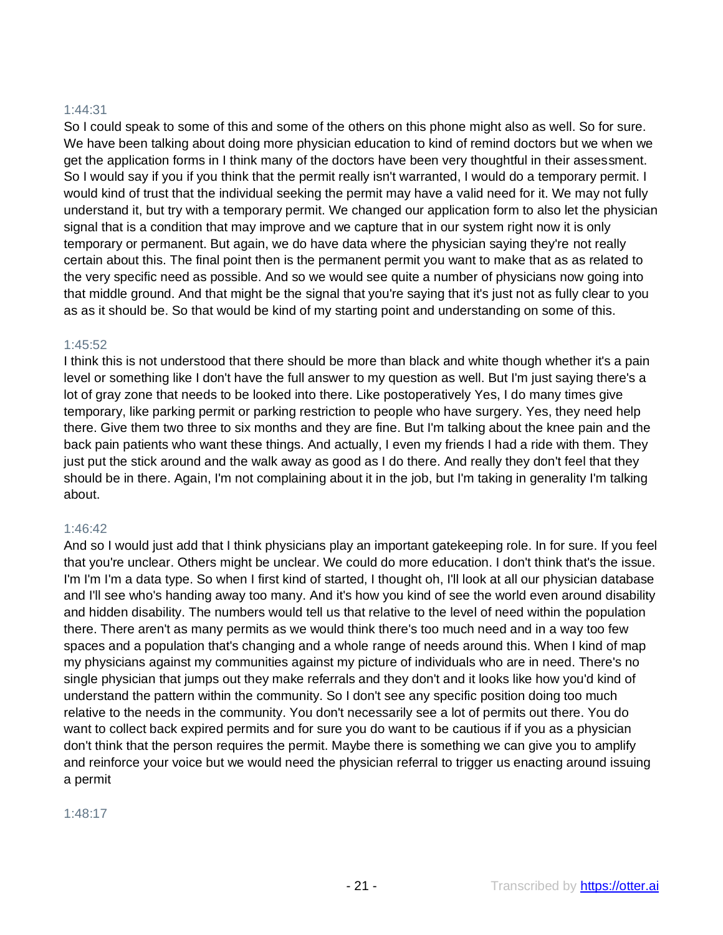#### 1:44:31

So I could speak to some of this and some of the others on this phone might also as well. So for sure. We have been talking about doing more physician education to kind of remind doctors but we when we get the application forms in I think many of the doctors have been very thoughtful in their assessment. So I would say if you if you think that the permit really isn't warranted, I would do a temporary permit. I would kind of trust that the individual seeking the permit may have a valid need for it. We may not fully understand it, but try with a temporary permit. We changed our application form to also let the physician signal that is a condition that may improve and we capture that in our system right now it is only temporary or permanent. But again, we do have data where the physician saying they're not really certain about this. The final point then is the permanent permit you want to make that as as related to the very specific need as possible. And so we would see quite a number of physicians now going into that middle ground. And that might be the signal that you're saying that it's just not as fully clear to you as as it should be. So that would be kind of my starting point and understanding on some of this.

#### 1:45:52

I think this is not understood that there should be more than black and white though whether it's a pain level or something like I don't have the full answer to my question as well. But I'm just saying there's a lot of gray zone that needs to be looked into there. Like postoperatively Yes, I do many times give temporary, like parking permit or parking restriction to people who have surgery. Yes, they need help there. Give them two three to six months and they are fine. But I'm talking about the knee pain and the back pain patients who want these things. And actually, I even my friends I had a ride with them. They just put the stick around and the walk away as good as I do there. And really they don't feel that they should be in there. Again, I'm not complaining about it in the job, but I'm taking in generality I'm talking about.

#### 1:46:42

And so I would just add that I think physicians play an important gatekeeping role. In for sure. If you feel that you're unclear. Others might be unclear. We could do more education. I don't think that's the issue. I'm I'm I'm a data type. So when I first kind of started, I thought oh, I'll look at all our physician database and I'll see who's handing away too many. And it's how you kind of see the world even around disability and hidden disability. The numbers would tell us that relative to the level of need within the population there. There aren't as many permits as we would think there's too much need and in a way too few spaces and a population that's changing and a whole range of needs around this. When I kind of map my physicians against my communities against my picture of individuals who are in need. There's no single physician that jumps out they make referrals and they don't and it looks like how you'd kind of understand the pattern within the community. So I don't see any specific position doing too much relative to the needs in the community. You don't necessarily see a lot of permits out there. You do want to collect back expired permits and for sure you do want to be cautious if if you as a physician don't think that the person requires the permit. Maybe there is something we can give you to amplify and reinforce your voice but we would need the physician referral to trigger us enacting around issuing a permit

#### 1:48:17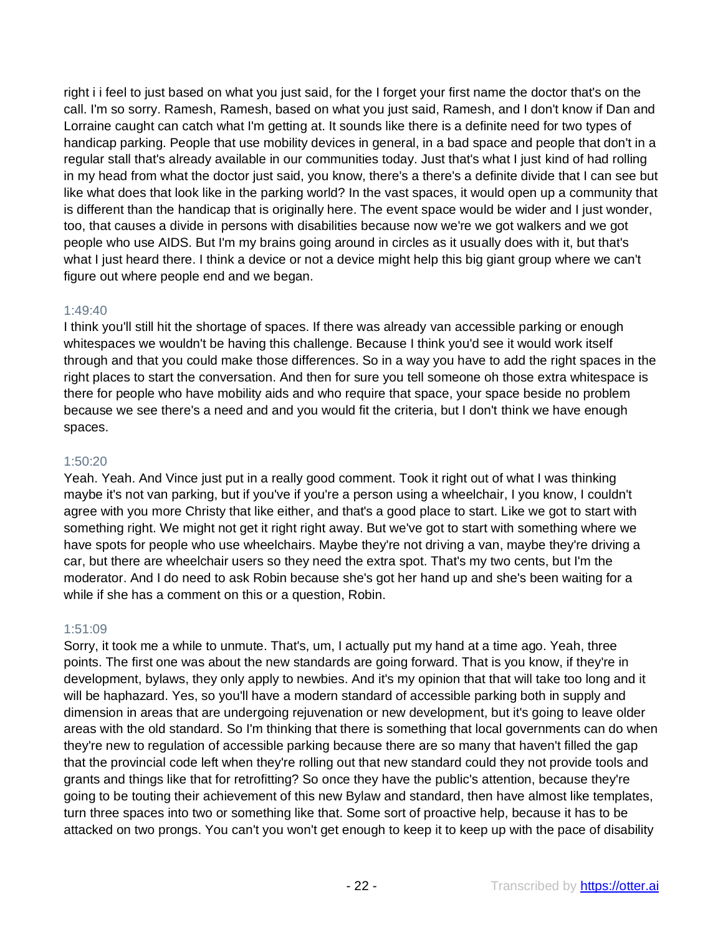right i i feel to just based on what you just said, for the I forget your first name the doctor that's on the call. I'm so sorry. Ramesh, Ramesh, based on what you just said, Ramesh, and I don't know if Dan and Lorraine caught can catch what I'm getting at. It sounds like there is a definite need for two types of handicap parking. People that use mobility devices in general, in a bad space and people that don't in a regular stall that's already available in our communities today. Just that's what I just kind of had rolling in my head from what the doctor just said, you know, there's a there's a definite divide that I can see but like what does that look like in the parking world? In the vast spaces, it would open up a community that is different than the handicap that is originally here. The event space would be wider and I just wonder, too, that causes a divide in persons with disabilities because now we're we got walkers and we got people who use AIDS. But I'm my brains going around in circles as it usually does with it, but that's what I just heard there. I think a device or not a device might help this big giant group where we can't figure out where people end and we began.

## 1:49:40

I think you'll still hit the shortage of spaces. If there was already van accessible parking or enough whitespaces we wouldn't be having this challenge. Because I think you'd see it would work itself through and that you could make those differences. So in a way you have to add the right spaces in the right places to start the conversation. And then for sure you tell someone oh those extra whitespace is there for people who have mobility aids and who require that space, your space beside no problem because we see there's a need and and you would fit the criteria, but I don't think we have enough spaces.

## 1:50:20

Yeah. Yeah. And Vince just put in a really good comment. Took it right out of what I was thinking maybe it's not van parking, but if you've if you're a person using a wheelchair, I you know, I couldn't agree with you more Christy that like either, and that's a good place to start. Like we got to start with something right. We might not get it right right away. But we've got to start with something where we have spots for people who use wheelchairs. Maybe they're not driving a van, maybe they're driving a car, but there are wheelchair users so they need the extra spot. That's my two cents, but I'm the moderator. And I do need to ask Robin because she's got her hand up and she's been waiting for a while if she has a comment on this or a question, Robin.

## 1:51:09

Sorry, it took me a while to unmute. That's, um, I actually put my hand at a time ago. Yeah, three points. The first one was about the new standards are going forward. That is you know, if they're in development, bylaws, they only apply to newbies. And it's my opinion that that will take too long and it will be haphazard. Yes, so you'll have a modern standard of accessible parking both in supply and dimension in areas that are undergoing rejuvenation or new development, but it's going to leave older areas with the old standard. So I'm thinking that there is something that local governments can do when they're new to regulation of accessible parking because there are so many that haven't filled the gap that the provincial code left when they're rolling out that new standard could they not provide tools and grants and things like that for retrofitting? So once they have the public's attention, because they're going to be touting their achievement of this new Bylaw and standard, then have almost like templates, turn three spaces into two or something like that. Some sort of proactive help, because it has to be attacked on two prongs. You can't you won't get enough to keep it to keep up with the pace of disability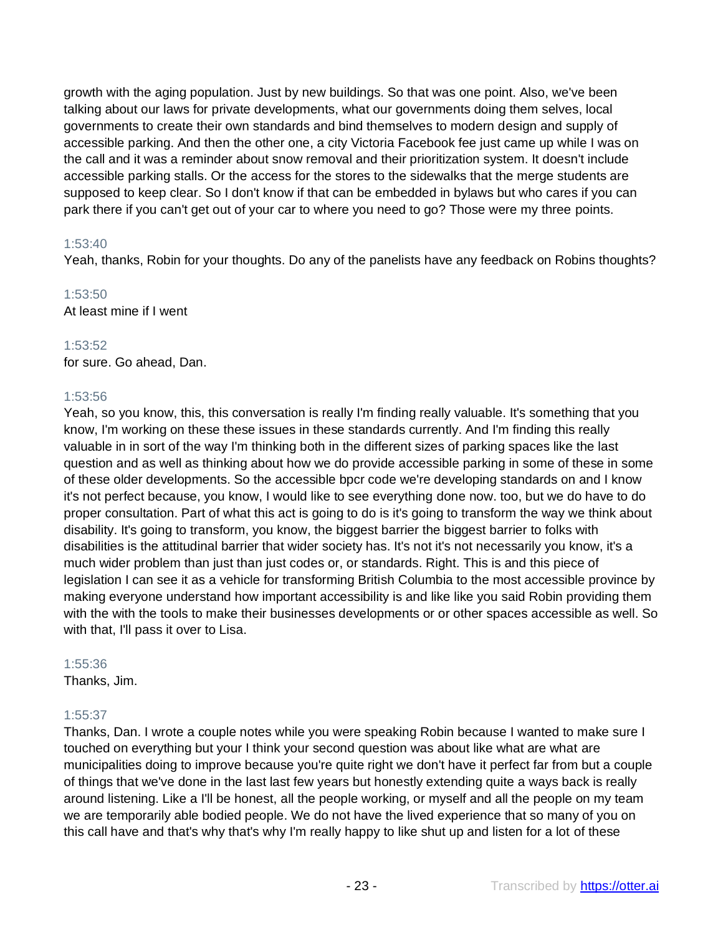growth with the aging population. Just by new buildings. So that was one point. Also, we've been talking about our laws for private developments, what our governments doing them selves, local governments to create their own standards and bind themselves to modern design and supply of accessible parking. And then the other one, a city Victoria Facebook fee just came up while I was on the call and it was a reminder about snow removal and their prioritization system. It doesn't include accessible parking stalls. Or the access for the stores to the sidewalks that the merge students are supposed to keep clear. So I don't know if that can be embedded in bylaws but who cares if you can park there if you can't get out of your car to where you need to go? Those were my three points.

## 1:53:40

Yeah, thanks, Robin for your thoughts. Do any of the panelists have any feedback on Robins thoughts?

## 1:53:50

At least mine if I went

## 1:53:52

for sure. Go ahead, Dan.

## 1:53:56

Yeah, so you know, this, this conversation is really I'm finding really valuable. It's something that you know, I'm working on these these issues in these standards currently. And I'm finding this really valuable in in sort of the way I'm thinking both in the different sizes of parking spaces like the last question and as well as thinking about how we do provide accessible parking in some of these in some of these older developments. So the accessible bpcr code we're developing standards on and I know it's not perfect because, you know, I would like to see everything done now. too, but we do have to do proper consultation. Part of what this act is going to do is it's going to transform the way we think about disability. It's going to transform, you know, the biggest barrier the biggest barrier to folks with disabilities is the attitudinal barrier that wider society has. It's not it's not necessarily you know, it's a much wider problem than just than just codes or, or standards. Right. This is and this piece of legislation I can see it as a vehicle for transforming British Columbia to the most accessible province by making everyone understand how important accessibility is and like like you said Robin providing them with the with the tools to make their businesses developments or or other spaces accessible as well. So with that, I'll pass it over to Lisa.

## 1:55:36

Thanks, Jim.

## 1:55:37

Thanks, Dan. I wrote a couple notes while you were speaking Robin because I wanted to make sure I touched on everything but your I think your second question was about like what are what are municipalities doing to improve because you're quite right we don't have it perfect far from but a couple of things that we've done in the last last few years but honestly extending quite a ways back is really around listening. Like a I'll be honest, all the people working, or myself and all the people on my team we are temporarily able bodied people. We do not have the lived experience that so many of you on this call have and that's why that's why I'm really happy to like shut up and listen for a lot of these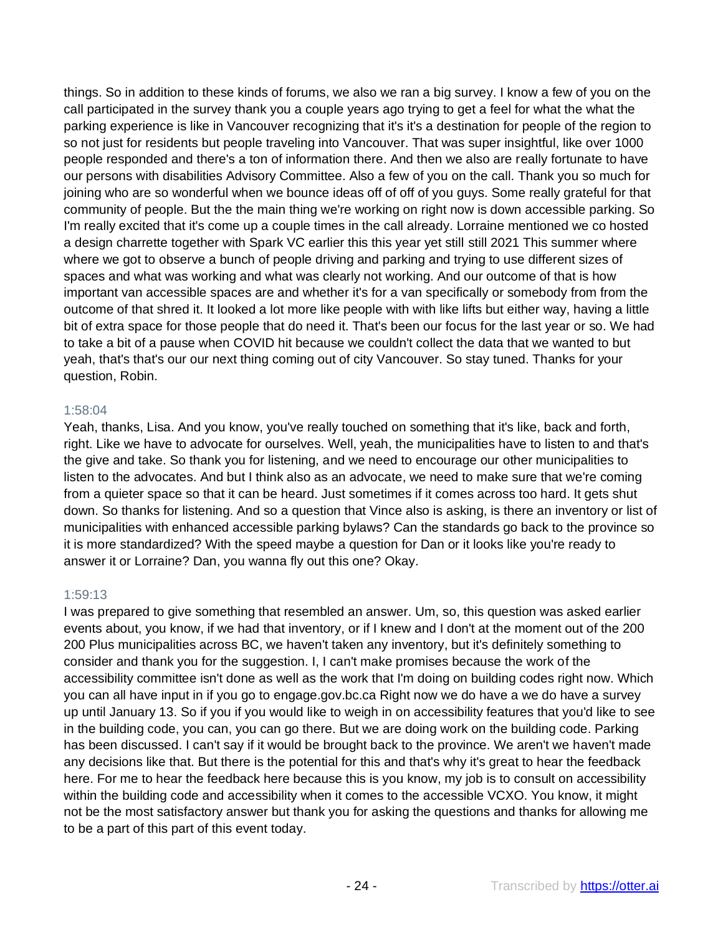things. So in addition to these kinds of forums, we also we ran a big survey. I know a few of you on the call participated in the survey thank you a couple years ago trying to get a feel for what the what the parking experience is like in Vancouver recognizing that it's it's a destination for people of the region to so not just for residents but people traveling into Vancouver. That was super insightful, like over 1000 people responded and there's a ton of information there. And then we also are really fortunate to have our persons with disabilities Advisory Committee. Also a few of you on the call. Thank you so much for joining who are so wonderful when we bounce ideas off of off of you guys. Some really grateful for that community of people. But the the main thing we're working on right now is down accessible parking. So I'm really excited that it's come up a couple times in the call already. Lorraine mentioned we co hosted a design charrette together with Spark VC earlier this this year yet still still 2021 This summer where where we got to observe a bunch of people driving and parking and trying to use different sizes of spaces and what was working and what was clearly not working. And our outcome of that is how important van accessible spaces are and whether it's for a van specifically or somebody from from the outcome of that shred it. It looked a lot more like people with with like lifts but either way, having a little bit of extra space for those people that do need it. That's been our focus for the last year or so. We had to take a bit of a pause when COVID hit because we couldn't collect the data that we wanted to but yeah, that's that's our our next thing coming out of city Vancouver. So stay tuned. Thanks for your question, Robin.

## 1:58:04

Yeah, thanks, Lisa. And you know, you've really touched on something that it's like, back and forth, right. Like we have to advocate for ourselves. Well, yeah, the municipalities have to listen to and that's the give and take. So thank you for listening, and we need to encourage our other municipalities to listen to the advocates. And but I think also as an advocate, we need to make sure that we're coming from a quieter space so that it can be heard. Just sometimes if it comes across too hard. It gets shut down. So thanks for listening. And so a question that Vince also is asking, is there an inventory or list of municipalities with enhanced accessible parking bylaws? Can the standards go back to the province so it is more standardized? With the speed maybe a question for Dan or it looks like you're ready to answer it or Lorraine? Dan, you wanna fly out this one? Okay.

## 1:59:13

I was prepared to give something that resembled an answer. Um, so, this question was asked earlier events about, you know, if we had that inventory, or if I knew and I don't at the moment out of the 200 200 Plus municipalities across BC, we haven't taken any inventory, but it's definitely something to consider and thank you for the suggestion. I, I can't make promises because the work of the accessibility committee isn't done as well as the work that I'm doing on building codes right now. Which you can all have input in if you go to engage.gov.bc.ca Right now we do have a we do have a survey up until January 13. So if you if you would like to weigh in on accessibility features that you'd like to see in the building code, you can, you can go there. But we are doing work on the building code. Parking has been discussed. I can't say if it would be brought back to the province. We aren't we haven't made any decisions like that. But there is the potential for this and that's why it's great to hear the feedback here. For me to hear the feedback here because this is you know, my job is to consult on accessibility within the building code and accessibility when it comes to the accessible VCXO. You know, it might not be the most satisfactory answer but thank you for asking the questions and thanks for allowing me to be a part of this part of this event today.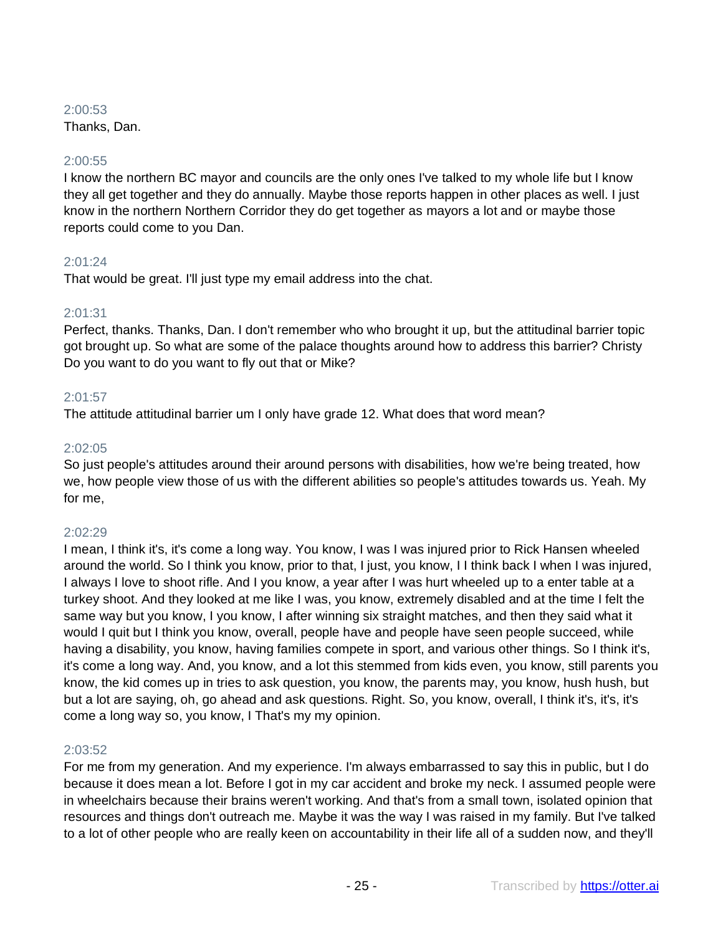## 2:00:53

Thanks, Dan.

## 2:00:55

I know the northern BC mayor and councils are the only ones I've talked to my whole life but I know they all get together and they do annually. Maybe those reports happen in other places as well. I just know in the northern Northern Corridor they do get together as mayors a lot and or maybe those reports could come to you Dan.

## 2:01:24

That would be great. I'll just type my email address into the chat.

## 2:01:31

Perfect, thanks. Thanks, Dan. I don't remember who who brought it up, but the attitudinal barrier topic got brought up. So what are some of the palace thoughts around how to address this barrier? Christy Do you want to do you want to fly out that or Mike?

## 2:01:57

The attitude attitudinal barrier um I only have grade 12. What does that word mean?

## 2:02:05

So just people's attitudes around their around persons with disabilities, how we're being treated, how we, how people view those of us with the different abilities so people's attitudes towards us. Yeah. My for me,

## 2:02:29

I mean, I think it's, it's come a long way. You know, I was I was injured prior to Rick Hansen wheeled around the world. So I think you know, prior to that, I just, you know, I I think back I when I was injured, I always I love to shoot rifle. And I you know, a year after I was hurt wheeled up to a enter table at a turkey shoot. And they looked at me like I was, you know, extremely disabled and at the time I felt the same way but you know, I you know, I after winning six straight matches, and then they said what it would I quit but I think you know, overall, people have and people have seen people succeed, while having a disability, you know, having families compete in sport, and various other things. So I think it's, it's come a long way. And, you know, and a lot this stemmed from kids even, you know, still parents you know, the kid comes up in tries to ask question, you know, the parents may, you know, hush hush, but but a lot are saying, oh, go ahead and ask questions. Right. So, you know, overall, I think it's, it's, it's come a long way so, you know, I That's my my opinion.

## 2:03:52

For me from my generation. And my experience. I'm always embarrassed to say this in public, but I do because it does mean a lot. Before I got in my car accident and broke my neck. I assumed people were in wheelchairs because their brains weren't working. And that's from a small town, isolated opinion that resources and things don't outreach me. Maybe it was the way I was raised in my family. But I've talked to a lot of other people who are really keen on accountability in their life all of a sudden now, and they'll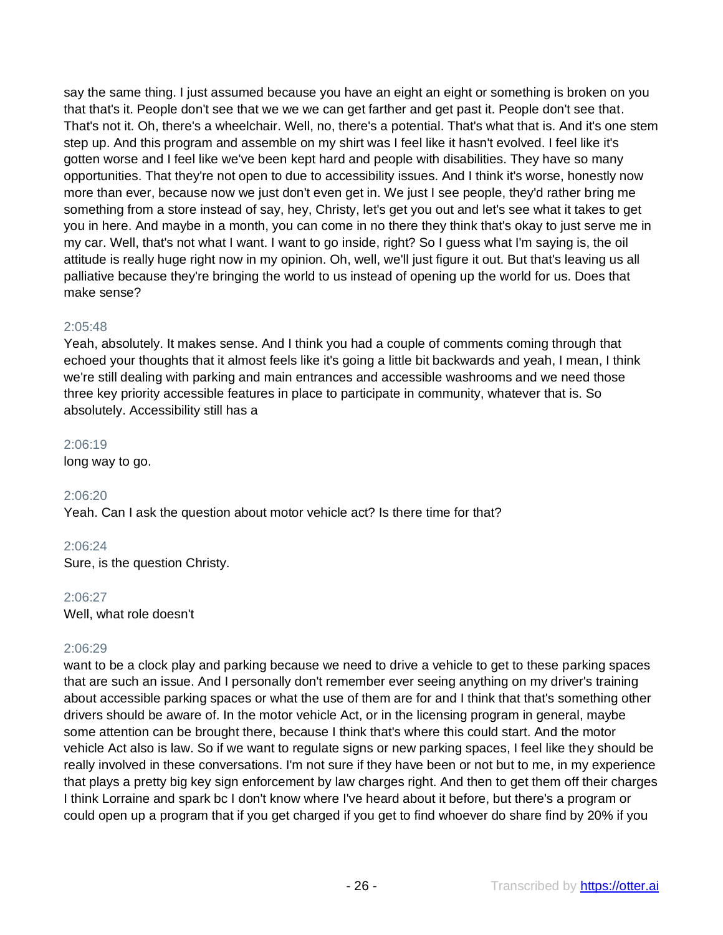say the same thing. I just assumed because you have an eight an eight or something is broken on you that that's it. People don't see that we we we can get farther and get past it. People don't see that. That's not it. Oh, there's a wheelchair. Well, no, there's a potential. That's what that is. And it's one stem step up. And this program and assemble on my shirt was I feel like it hasn't evolved. I feel like it's gotten worse and I feel like we've been kept hard and people with disabilities. They have so many opportunities. That they're not open to due to accessibility issues. And I think it's worse, honestly now more than ever, because now we just don't even get in. We just I see people, they'd rather bring me something from a store instead of say, hey, Christy, let's get you out and let's see what it takes to get you in here. And maybe in a month, you can come in no there they think that's okay to just serve me in my car. Well, that's not what I want. I want to go inside, right? So I guess what I'm saying is, the oil attitude is really huge right now in my opinion. Oh, well, we'll just figure it out. But that's leaving us all palliative because they're bringing the world to us instead of opening up the world for us. Does that make sense?

## 2:05:48

Yeah, absolutely. It makes sense. And I think you had a couple of comments coming through that echoed your thoughts that it almost feels like it's going a little bit backwards and yeah, I mean, I think we're still dealing with parking and main entrances and accessible washrooms and we need those three key priority accessible features in place to participate in community, whatever that is. So absolutely. Accessibility still has a

## 2:06:19

long way to go.

## 2:06:20

Yeah. Can I ask the question about motor vehicle act? Is there time for that?

## 2:06:24

Sure, is the question Christy.

## 2:06:27

Well, what role doesn't

## 2:06:29

want to be a clock play and parking because we need to drive a vehicle to get to these parking spaces that are such an issue. And I personally don't remember ever seeing anything on my driver's training about accessible parking spaces or what the use of them are for and I think that that's something other drivers should be aware of. In the motor vehicle Act, or in the licensing program in general, maybe some attention can be brought there, because I think that's where this could start. And the motor vehicle Act also is law. So if we want to regulate signs or new parking spaces, I feel like they should be really involved in these conversations. I'm not sure if they have been or not but to me, in my experience that plays a pretty big key sign enforcement by law charges right. And then to get them off their charges I think Lorraine and spark bc I don't know where I've heard about it before, but there's a program or could open up a program that if you get charged if you get to find whoever do share find by 20% if you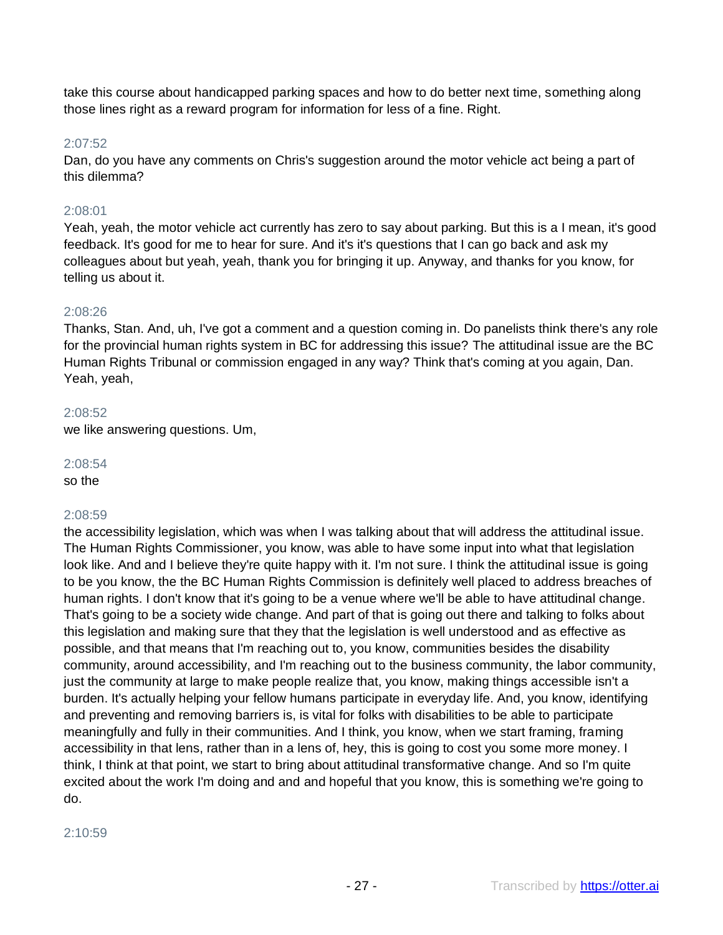take this course about handicapped parking spaces and how to do better next time, something along those lines right as a reward program for information for less of a fine. Right.

## 2:07:52

Dan, do you have any comments on Chris's suggestion around the motor vehicle act being a part of this dilemma?

## 2:08:01

Yeah, yeah, the motor vehicle act currently has zero to say about parking. But this is a I mean, it's good feedback. It's good for me to hear for sure. And it's it's questions that I can go back and ask my colleagues about but yeah, yeah, thank you for bringing it up. Anyway, and thanks for you know, for telling us about it.

## 2:08:26

Thanks, Stan. And, uh, I've got a comment and a question coming in. Do panelists think there's any role for the provincial human rights system in BC for addressing this issue? The attitudinal issue are the BC Human Rights Tribunal or commission engaged in any way? Think that's coming at you again, Dan. Yeah, yeah,

## 2:08:52

we like answering questions. Um,

## 2:08:54

so the

## 2:08:59

the accessibility legislation, which was when I was talking about that will address the attitudinal issue. The Human Rights Commissioner, you know, was able to have some input into what that legislation look like. And and I believe they're quite happy with it. I'm not sure. I think the attitudinal issue is going to be you know, the the BC Human Rights Commission is definitely well placed to address breaches of human rights. I don't know that it's going to be a venue where we'll be able to have attitudinal change. That's going to be a society wide change. And part of that is going out there and talking to folks about this legislation and making sure that they that the legislation is well understood and as effective as possible, and that means that I'm reaching out to, you know, communities besides the disability community, around accessibility, and I'm reaching out to the business community, the labor community, just the community at large to make people realize that, you know, making things accessible isn't a burden. It's actually helping your fellow humans participate in everyday life. And, you know, identifying and preventing and removing barriers is, is vital for folks with disabilities to be able to participate meaningfully and fully in their communities. And I think, you know, when we start framing, framing accessibility in that lens, rather than in a lens of, hey, this is going to cost you some more money. I think, I think at that point, we start to bring about attitudinal transformative change. And so I'm quite excited about the work I'm doing and and and hopeful that you know, this is something we're going to do.

#### 2:10:59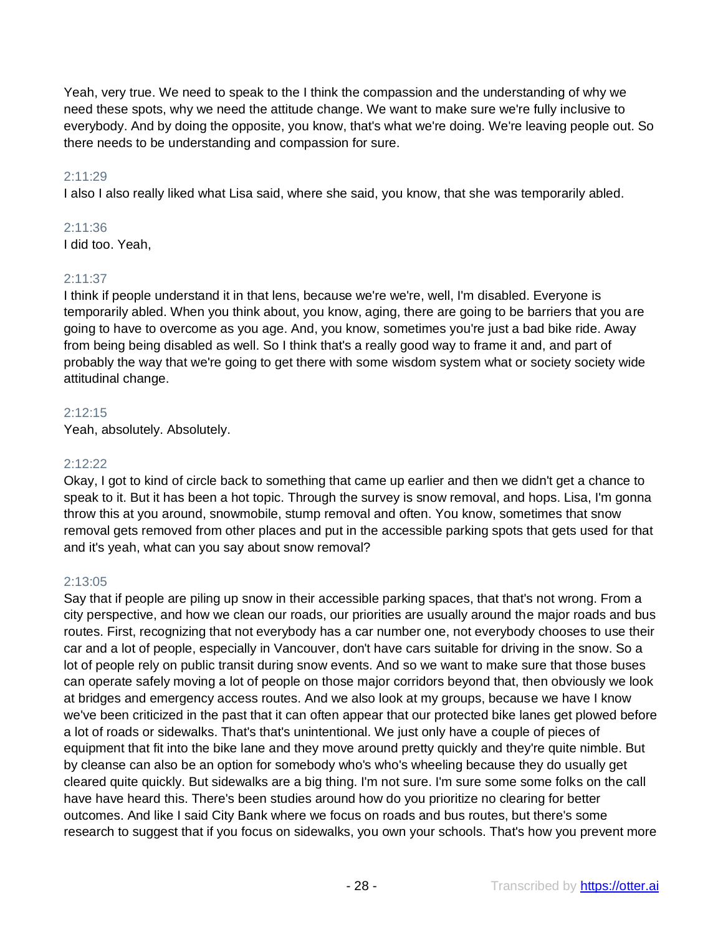Yeah, very true. We need to speak to the I think the compassion and the understanding of why we need these spots, why we need the attitude change. We want to make sure we're fully inclusive to everybody. And by doing the opposite, you know, that's what we're doing. We're leaving people out. So there needs to be understanding and compassion for sure.

## 2:11:29

I also I also really liked what Lisa said, where she said, you know, that she was temporarily abled.

## 2:11:36

I did too. Yeah,

## 2:11:37

I think if people understand it in that lens, because we're we're, well, I'm disabled. Everyone is temporarily abled. When you think about, you know, aging, there are going to be barriers that you are going to have to overcome as you age. And, you know, sometimes you're just a bad bike ride. Away from being being disabled as well. So I think that's a really good way to frame it and, and part of probably the way that we're going to get there with some wisdom system what or society society wide attitudinal change.

## 2:12:15

Yeah, absolutely. Absolutely.

## 2:12:22

Okay, I got to kind of circle back to something that came up earlier and then we didn't get a chance to speak to it. But it has been a hot topic. Through the survey is snow removal, and hops. Lisa, I'm gonna throw this at you around, snowmobile, stump removal and often. You know, sometimes that snow removal gets removed from other places and put in the accessible parking spots that gets used for that and it's yeah, what can you say about snow removal?

## 2:13:05

Say that if people are piling up snow in their accessible parking spaces, that that's not wrong. From a city perspective, and how we clean our roads, our priorities are usually around the major roads and bus routes. First, recognizing that not everybody has a car number one, not everybody chooses to use their car and a lot of people, especially in Vancouver, don't have cars suitable for driving in the snow. So a lot of people rely on public transit during snow events. And so we want to make sure that those buses can operate safely moving a lot of people on those major corridors beyond that, then obviously we look at bridges and emergency access routes. And we also look at my groups, because we have I know we've been criticized in the past that it can often appear that our protected bike lanes get plowed before a lot of roads or sidewalks. That's that's unintentional. We just only have a couple of pieces of equipment that fit into the bike lane and they move around pretty quickly and they're quite nimble. But by cleanse can also be an option for somebody who's who's wheeling because they do usually get cleared quite quickly. But sidewalks are a big thing. I'm not sure. I'm sure some some folks on the call have have heard this. There's been studies around how do you prioritize no clearing for better outcomes. And like I said City Bank where we focus on roads and bus routes, but there's some research to suggest that if you focus on sidewalks, you own your schools. That's how you prevent more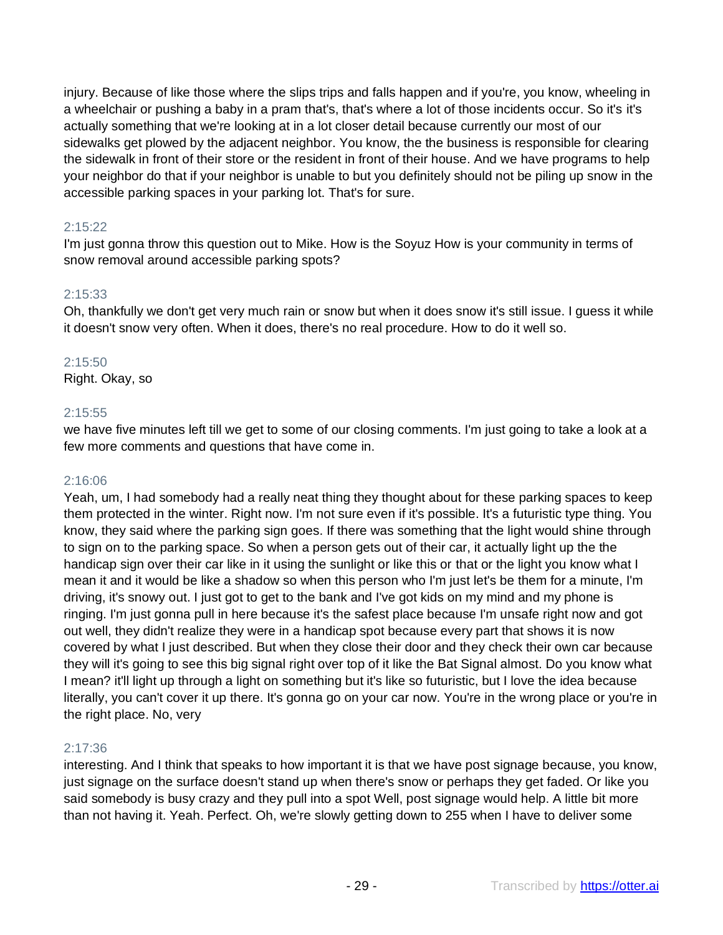injury. Because of like those where the slips trips and falls happen and if you're, you know, wheeling in a wheelchair or pushing a baby in a pram that's, that's where a lot of those incidents occur. So it's it's actually something that we're looking at in a lot closer detail because currently our most of our sidewalks get plowed by the adjacent neighbor. You know, the the business is responsible for clearing the sidewalk in front of their store or the resident in front of their house. And we have programs to help your neighbor do that if your neighbor is unable to but you definitely should not be piling up snow in the accessible parking spaces in your parking lot. That's for sure.

## 2:15:22

I'm just gonna throw this question out to Mike. How is the Soyuz How is your community in terms of snow removal around accessible parking spots?

## 2:15:33

Oh, thankfully we don't get very much rain or snow but when it does snow it's still issue. I guess it while it doesn't snow very often. When it does, there's no real procedure. How to do it well so.

## 2:15:50

Right. Okay, so

## 2:15:55

we have five minutes left till we get to some of our closing comments. I'm just going to take a look at a few more comments and questions that have come in.

## 2:16:06

Yeah, um, I had somebody had a really neat thing they thought about for these parking spaces to keep them protected in the winter. Right now. I'm not sure even if it's possible. It's a futuristic type thing. You know, they said where the parking sign goes. If there was something that the light would shine through to sign on to the parking space. So when a person gets out of their car, it actually light up the the handicap sign over their car like in it using the sunlight or like this or that or the light you know what I mean it and it would be like a shadow so when this person who I'm just let's be them for a minute, I'm driving, it's snowy out. I just got to get to the bank and I've got kids on my mind and my phone is ringing. I'm just gonna pull in here because it's the safest place because I'm unsafe right now and got out well, they didn't realize they were in a handicap spot because every part that shows it is now covered by what I just described. But when they close their door and they check their own car because they will it's going to see this big signal right over top of it like the Bat Signal almost. Do you know what I mean? it'll light up through a light on something but it's like so futuristic, but I love the idea because literally, you can't cover it up there. It's gonna go on your car now. You're in the wrong place or you're in the right place. No, very

## 2:17:36

interesting. And I think that speaks to how important it is that we have post signage because, you know, just signage on the surface doesn't stand up when there's snow or perhaps they get faded. Or like you said somebody is busy crazy and they pull into a spot Well, post signage would help. A little bit more than not having it. Yeah. Perfect. Oh, we're slowly getting down to 255 when I have to deliver some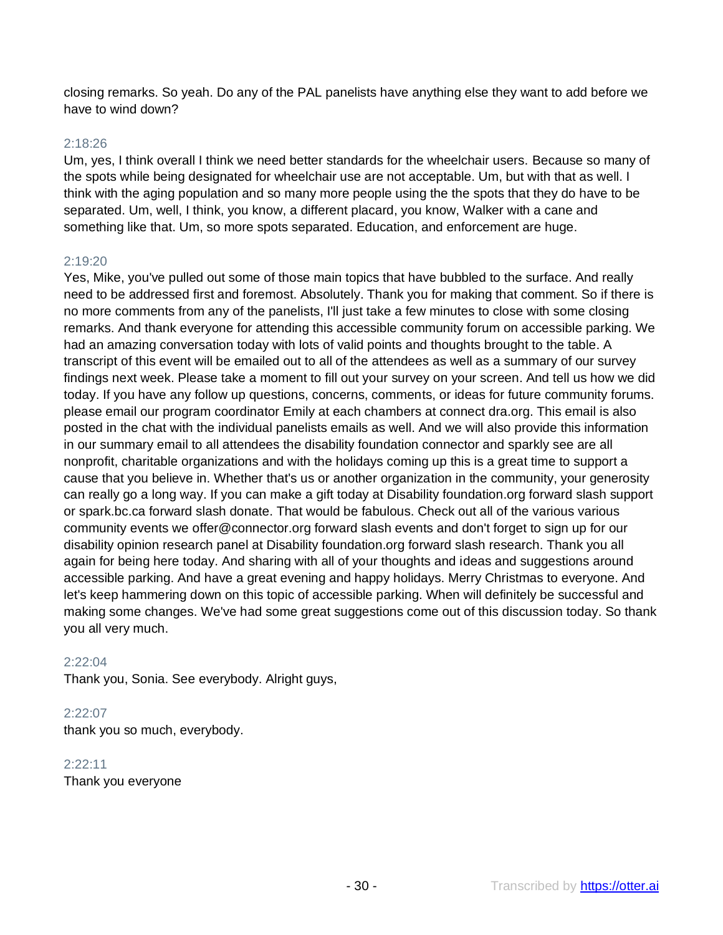closing remarks. So yeah. Do any of the PAL panelists have anything else they want to add before we have to wind down?

## 2:18:26

Um, yes, I think overall I think we need better standards for the wheelchair users. Because so many of the spots while being designated for wheelchair use are not acceptable. Um, but with that as well. I think with the aging population and so many more people using the the spots that they do have to be separated. Um, well, I think, you know, a different placard, you know, Walker with a cane and something like that. Um, so more spots separated. Education, and enforcement are huge.

#### 2:19:20

Yes, Mike, you've pulled out some of those main topics that have bubbled to the surface. And really need to be addressed first and foremost. Absolutely. Thank you for making that comment. So if there is no more comments from any of the panelists, I'll just take a few minutes to close with some closing remarks. And thank everyone for attending this accessible community forum on accessible parking. We had an amazing conversation today with lots of valid points and thoughts brought to the table. A transcript of this event will be emailed out to all of the attendees as well as a summary of our survey findings next week. Please take a moment to fill out your survey on your screen. And tell us how we did today. If you have any follow up questions, concerns, comments, or ideas for future community forums. please email our program coordinator Emily at each chambers at connect dra.org. This email is also posted in the chat with the individual panelists emails as well. And we will also provide this information in our summary email to all attendees the disability foundation connector and sparkly see are all nonprofit, charitable organizations and with the holidays coming up this is a great time to support a cause that you believe in. Whether that's us or another organization in the community, your generosity can really go a long way. If you can make a gift today at Disability foundation.org forward slash support or spark.bc.ca forward slash donate. That would be fabulous. Check out all of the various various community events we offer@connector.org forward slash events and don't forget to sign up for our disability opinion research panel at Disability foundation.org forward slash research. Thank you all again for being here today. And sharing with all of your thoughts and ideas and suggestions around accessible parking. And have a great evening and happy holidays. Merry Christmas to everyone. And let's keep hammering down on this topic of accessible parking. When will definitely be successful and making some changes. We've had some great suggestions come out of this discussion today. So thank you all very much.

#### 2:22:04

Thank you, Sonia. See everybody. Alright guys,

#### 2:22:07

thank you so much, everybody.

#### 2:22:11

Thank you everyone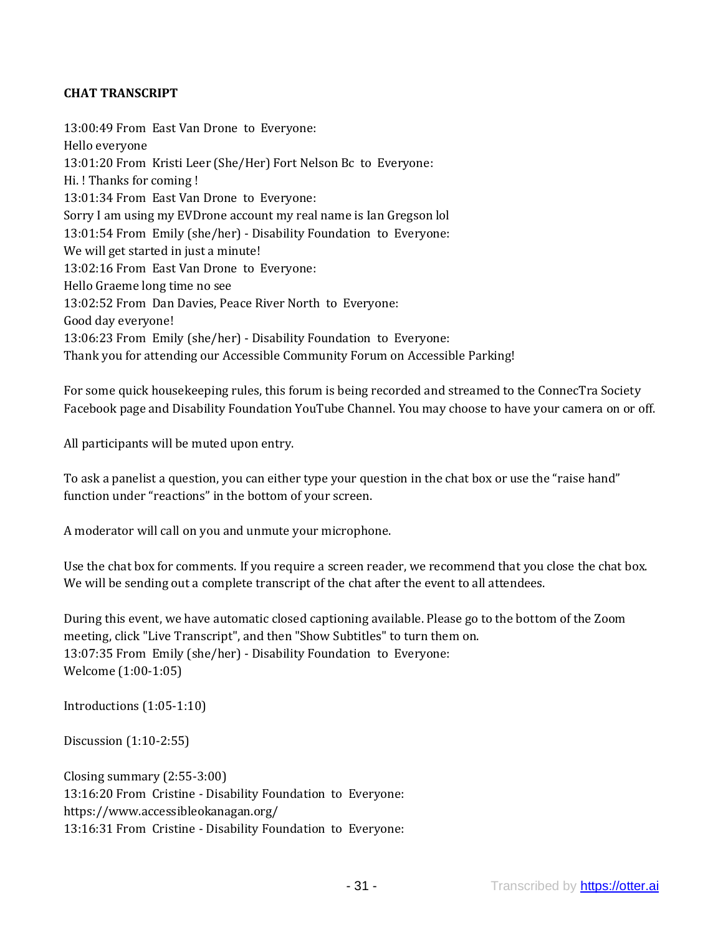## **CHAT TRANSCRIPT**

13:00:49 From East Van Drone to Everyone: Hello everyone 13:01:20 From Kristi Leer (She/Her) Fort Nelson Bc to Everyone: Hi. ! Thanks for coming ! 13:01:34 From East Van Drone to Everyone: Sorry I am using my EVDrone account my real name is Ian Gregson lol 13:01:54 From Emily (she/her) - Disability Foundation to Everyone: We will get started in just a minute! 13:02:16 From East Van Drone to Everyone: Hello Graeme long time no see 13:02:52 From Dan Davies, Peace River North to Everyone: Good day everyone! 13:06:23 From Emily (she/her) - Disability Foundation to Everyone: Thank you for attending our Accessible Community Forum on Accessible Parking!

For some quick housekeeping rules, this forum is being recorded and streamed to the ConnecTra Society Facebook page and Disability Foundation YouTube Channel. You may choose to have your camera on or off.

All participants will be muted upon entry.

To ask a panelist a question, you can either type your question in the chat box or use the "raise hand" function under "reactions" in the bottom of your screen.

A moderator will call on you and unmute your microphone.

Use the chat box for comments. If you require a screen reader, we recommend that you close the chat box. We will be sending out a complete transcript of the chat after the event to all attendees.

During this event, we have automatic closed captioning available. Please go to the bottom of the Zoom meeting, click "Live Transcript", and then "Show Subtitles" to turn them on. 13:07:35 From Emily (she/her) - Disability Foundation to Everyone: Welcome (1:00-1:05)

Introductions (1:05-1:10)

Discussion (1:10-2:55)

Closing summary (2:55-3:00) 13:16:20 From Cristine - Disability Foundation to Everyone: https://www.accessibleokanagan.org/ 13:16:31 From Cristine - Disability Foundation to Everyone: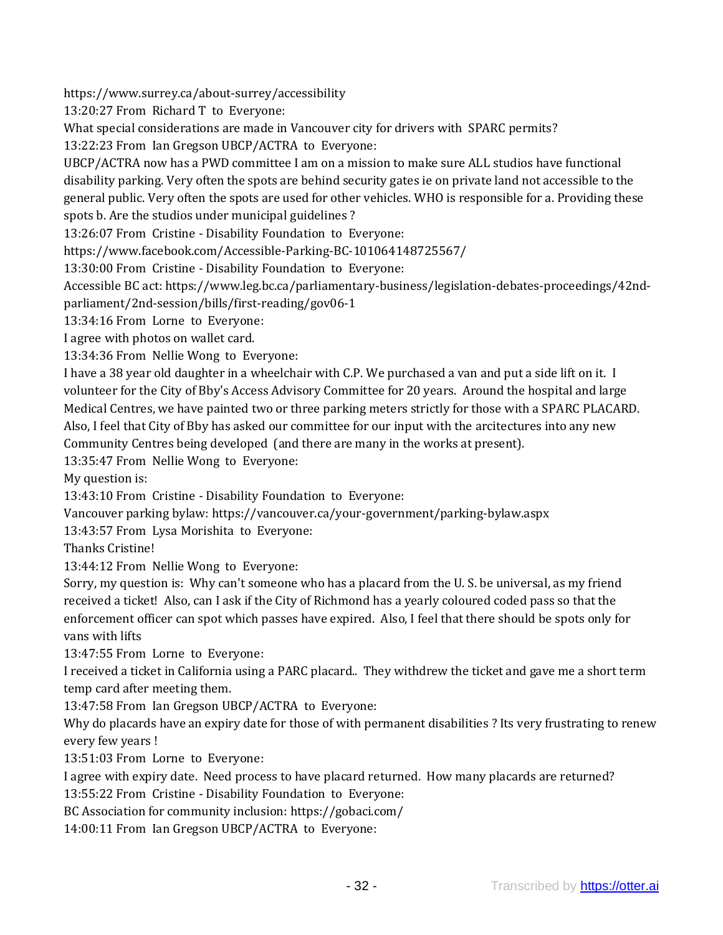https://www.surrey.ca/about-surrey/accessibility

13:20:27 From Richard T to Everyone:

What special considerations are made in Vancouver city for drivers with SPARC permits?

13:22:23 From Ian Gregson UBCP/ACTRA to Everyone:

UBCP/ACTRA now has a PWD committee I am on a mission to make sure ALL studios have functional disability parking. Very often the spots are behind security gates ie on private land not accessible to the general public. Very often the spots are used for other vehicles. WHO is responsible for a. Providing these spots b. Are the studios under municipal guidelines ?

13:26:07 From Cristine - Disability Foundation to Everyone:

https://www.facebook.com/Accessible-Parking-BC-101064148725567/

13:30:00 From Cristine - Disability Foundation to Everyone:

Accessible BC act: https://www.leg.bc.ca/parliamentary-business/legislation-debates-proceedings/42ndparliament/2nd-session/bills/first-reading/gov06-1

13:34:16 From Lorne to Everyone:

I agree with photos on wallet card.

13:34:36 From Nellie Wong to Everyone:

I have a 38 year old daughter in a wheelchair with C.P. We purchased a van and put a side lift on it. I volunteer for the City of Bby's Access Advisory Committee for 20 years. Around the hospital and large Medical Centres, we have painted two or three parking meters strictly for those with a SPARC PLACARD. Also, I feel that City of Bby has asked our committee for our input with the arcitectures into any new Community Centres being developed (and there are many in the works at present).

13:35:47 From Nellie Wong to Everyone:

My question is:

13:43:10 From Cristine - Disability Foundation to Everyone:

Vancouver parking bylaw: https://vancouver.ca/your-government/parking-bylaw.aspx

13:43:57 From Lysa Morishita to Everyone:

Thanks Cristine!

13:44:12 From Nellie Wong to Everyone:

Sorry, my question is: Why can't someone who has a placard from the U. S. be universal, as my friend received a ticket! Also, can I ask if the City of Richmond has a yearly coloured coded pass so that the enforcement officer can spot which passes have expired. Also, I feel that there should be spots only for vans with lifts

13:47:55 From Lorne to Everyone:

I received a ticket in California using a PARC placard.. They withdrew the ticket and gave me a short term temp card after meeting them.

13:47:58 From Ian Gregson UBCP/ACTRA to Everyone:

Why do placards have an expiry date for those of with permanent disabilities ? Its very frustrating to renew every few years !

13:51:03 From Lorne to Everyone:

I agree with expiry date. Need process to have placard returned. How many placards are returned?

13:55:22 From Cristine - Disability Foundation to Everyone:

BC Association for community inclusion: https://gobaci.com/

14:00:11 From Ian Gregson UBCP/ACTRA to Everyone: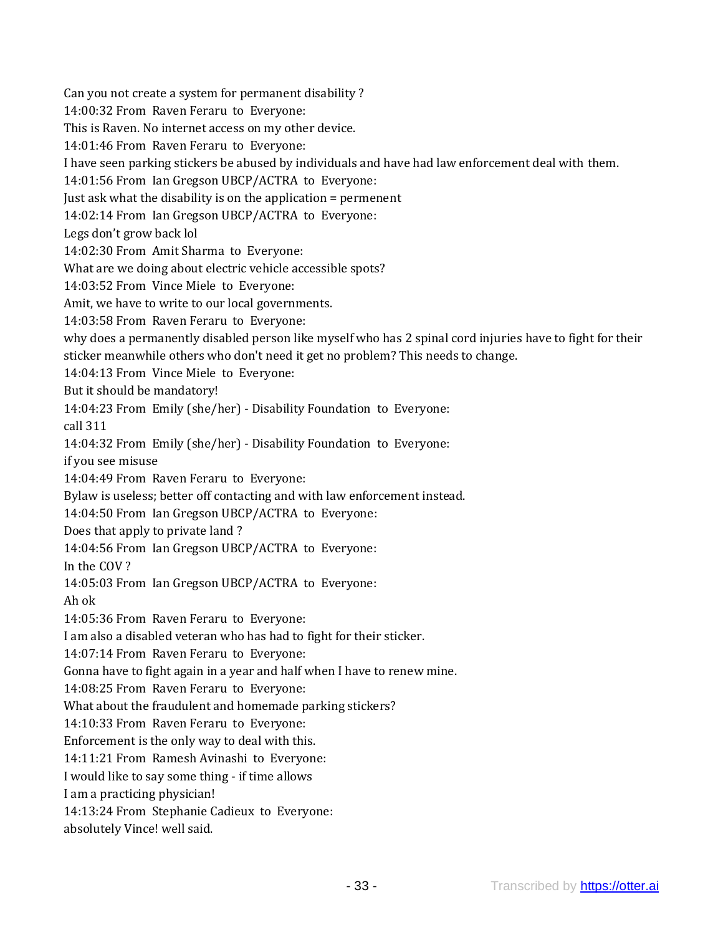Can you not create a system for permanent disability ? 14:00:32 From Raven Feraru to Everyone: This is Raven. No internet access on my other device. 14:01:46 From Raven Feraru to Everyone: I have seen parking stickers be abused by individuals and have had law enforcement deal with them. 14:01:56 From Ian Gregson UBCP/ACTRA to Everyone: Just ask what the disability is on the application = permenent 14:02:14 From Ian Gregson UBCP/ACTRA to Everyone: Legs don't grow back lol 14:02:30 From Amit Sharma to Everyone: What are we doing about electric vehicle accessible spots? 14:03:52 From Vince Miele to Everyone: Amit, we have to write to our local governments. 14:03:58 From Raven Feraru to Everyone: why does a permanently disabled person like myself who has 2 spinal cord injuries have to fight for their sticker meanwhile others who don't need it get no problem? This needs to change. 14:04:13 From Vince Miele to Everyone: But it should be mandatory! 14:04:23 From Emily (she/her) - Disability Foundation to Everyone: call 311 14:04:32 From Emily (she/her) - Disability Foundation to Everyone: if you see misuse 14:04:49 From Raven Feraru to Everyone: Bylaw is useless; better off contacting and with law enforcement instead. 14:04:50 From Ian Gregson UBCP/ACTRA to Everyone: Does that apply to private land ? 14:04:56 From Ian Gregson UBCP/ACTRA to Everyone: In the COV ? 14:05:03 From Ian Gregson UBCP/ACTRA to Everyone: Ah ok 14:05:36 From Raven Feraru to Everyone: I am also a disabled veteran who has had to fight for their sticker. 14:07:14 From Raven Feraru to Everyone: Gonna have to fight again in a year and half when I have to renew mine. 14:08:25 From Raven Feraru to Everyone: What about the fraudulent and homemade parking stickers? 14:10:33 From Raven Feraru to Everyone: Enforcement is the only way to deal with this. 14:11:21 From Ramesh Avinashi to Everyone: I would like to say some thing - if time allows I am a practicing physician! 14:13:24 From Stephanie Cadieux to Everyone: absolutely Vince! well said.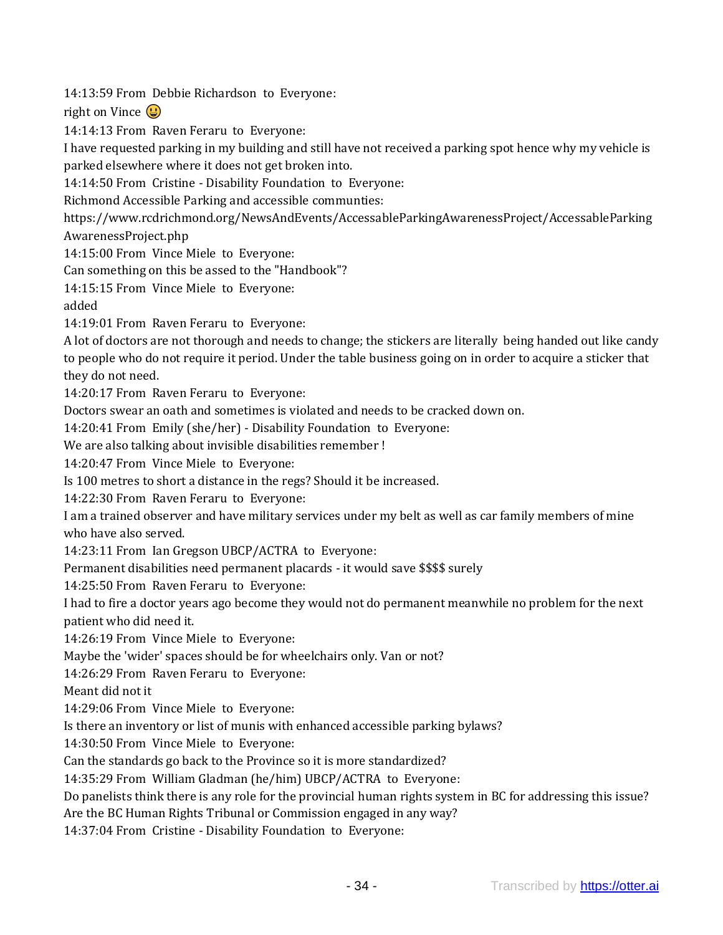14:13:59 From Debbie Richardson to Everyone:

right on Vince  $\bigcirc$ 

14:14:13 From Raven Feraru to Everyone:

I have requested parking in my building and still have not received a parking spot hence why my vehicle is parked elsewhere where it does not get broken into.

14:14:50 From Cristine - Disability Foundation to Everyone:

Richmond Accessible Parking and accessible communties:

https://www.rcdrichmond.org/NewsAndEvents/AccessableParkingAwarenessProject/AccessableParking AwarenessProject.php

14:15:00 From Vince Miele to Everyone:

Can something on this be assed to the "Handbook"?

14:15:15 From Vince Miele to Everyone:

added

14:19:01 From Raven Feraru to Everyone:

A lot of doctors are not thorough and needs to change; the stickers are literally being handed out like candy to people who do not require it period. Under the table business going on in order to acquire a sticker that they do not need.

14:20:17 From Raven Feraru to Everyone:

Doctors swear an oath and sometimes is violated and needs to be cracked down on.

14:20:41 From Emily (she/her) - Disability Foundation to Everyone:

We are also talking about invisible disabilities remember !

14:20:47 From Vince Miele to Everyone:

Is 100 metres to short a distance in the regs? Should it be increased.

14:22:30 From Raven Feraru to Everyone:

I am a trained observer and have military services under my belt as well as car family members of mine who have also served.

14:23:11 From Ian Gregson UBCP/ACTRA to Everyone:

Permanent disabilities need permanent placards - it would save \$\$\$\$ surely

14:25:50 From Raven Feraru to Everyone:

I had to fire a doctor years ago become they would not do permanent meanwhile no problem for the next patient who did need it.

14:26:19 From Vince Miele to Everyone:

Maybe the 'wider' spaces should be for wheelchairs only. Van or not?

14:26:29 From Raven Feraru to Everyone:

Meant did not it

14:29:06 From Vince Miele to Everyone:

Is there an inventory or list of munis with enhanced accessible parking bylaws?

14:30:50 From Vince Miele to Everyone:

Can the standards go back to the Province so it is more standardized?

14:35:29 From William Gladman (he/him) UBCP/ACTRA to Everyone:

Do panelists think there is any role for the provincial human rights system in BC for addressing this issue?

Are the BC Human Rights Tribunal or Commission engaged in any way?

14:37:04 From Cristine - Disability Foundation to Everyone: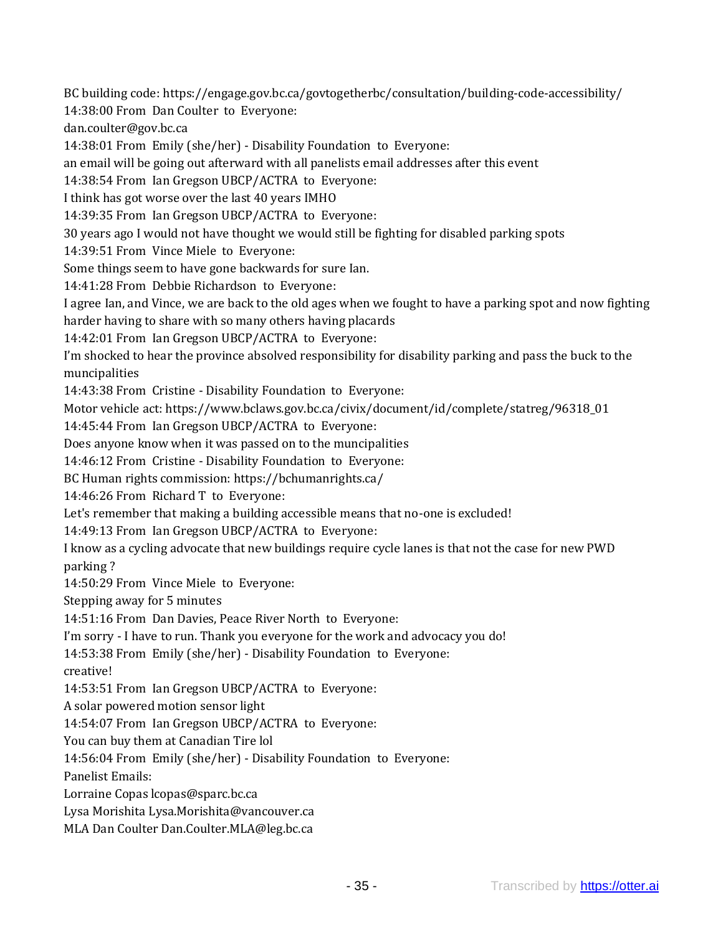BC building code: https://engage.gov.bc.ca/govtogetherbc/consultation/building-code-accessibility/

14:38:00 From Dan Coulter to Everyone:

dan.coulter@gov.bc.ca

14:38:01 From Emily (she/her) - Disability Foundation to Everyone:

an email will be going out afterward with all panelists email addresses after this event

14:38:54 From Ian Gregson UBCP/ACTRA to Everyone:

I think has got worse over the last 40 years IMHO

14:39:35 From Ian Gregson UBCP/ACTRA to Everyone:

30 years ago I would not have thought we would still be fighting for disabled parking spots

14:39:51 From Vince Miele to Everyone:

Some things seem to have gone backwards for sure Ian.

14:41:28 From Debbie Richardson to Everyone:

I agree Ian, and Vince, we are back to the old ages when we fought to have a parking spot and now fighting

harder having to share with so many others having placards

14:42:01 From Ian Gregson UBCP/ACTRA to Everyone:

I'm shocked to hear the province absolved responsibility for disability parking and pass the buck to the muncipalities

14:43:38 From Cristine - Disability Foundation to Everyone:

Motor vehicle act: https://www.bclaws.gov.bc.ca/civix/document/id/complete/statreg/96318\_01

14:45:44 From Ian Gregson UBCP/ACTRA to Everyone:

Does anyone know when it was passed on to the muncipalities

14:46:12 From Cristine - Disability Foundation to Everyone:

BC Human rights commission: https://bchumanrights.ca/

14:46:26 From Richard T to Everyone:

Let's remember that making a building accessible means that no-one is excluded!

14:49:13 From Ian Gregson UBCP/ACTRA to Everyone:

I know as a cycling advocate that new buildings require cycle lanes is that not the case for new PWD parking ?

14:50:29 From Vince Miele to Everyone:

Stepping away for 5 minutes

14:51:16 From Dan Davies, Peace River North to Everyone:

I'm sorry - I have to run. Thank you everyone for the work and advocacy you do!

14:53:38 From Emily (she/her) - Disability Foundation to Everyone:

creative!

14:53:51 From Ian Gregson UBCP/ACTRA to Everyone:

A solar powered motion sensor light

14:54:07 From Ian Gregson UBCP/ACTRA to Everyone:

You can buy them at Canadian Tire lol

14:56:04 From Emily (she/her) - Disability Foundation to Everyone:

Panelist Emails:

Lorraine Copas lcopas@sparc.bc.ca

Lysa Morishita Lysa.Morishita@vancouver.ca

MLA Dan Coulter Dan.Coulter.MLA@leg.bc.ca